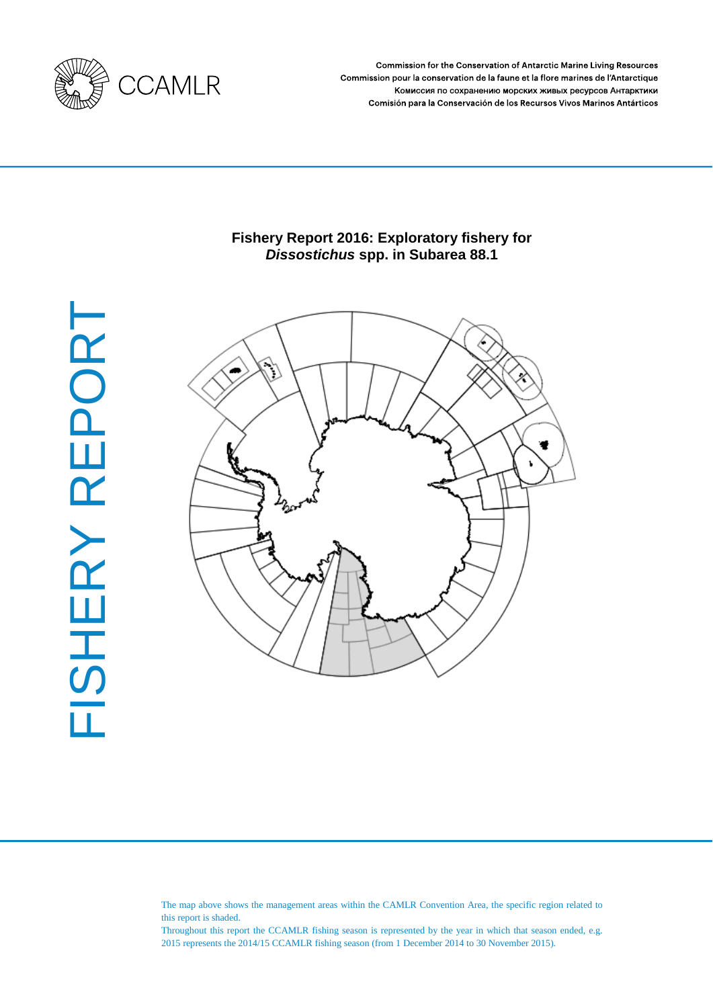

Commission for the Conservation of Antarctic Marine Living Resources Commission pour la conservation de la faune et la flore marines de l'Antarctique Комиссия по сохранению морских живых ресурсов Антарктики Comisión para la Conservación de los Recursos Vivos Marinos Antárticos

# **Fishery Report 2016: Exploratory fishery for**  *Dissostichus* **spp. in Subarea 88.1**



FISHERY REPORT FISHERY REPORT

> The map above shows the management areas within the CAMLR Convention Area, the specific region related to this report is shaded.

> Throughout this report the CCAMLR fishing season is represented by the year in which that season ended, e.g. 2015 represents the 2014/15 CCAMLR fishing season (from 1 December 2014 to 30 November 2015).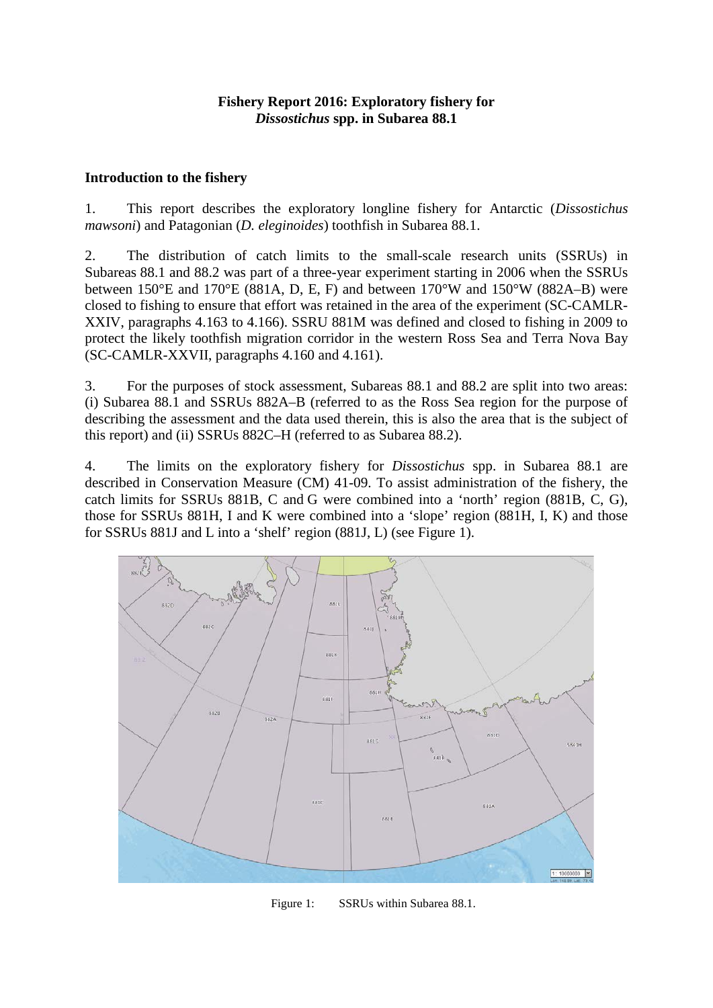# **Fishery Report 2016: Exploratory fishery for**  *Dissostichus* **spp. in Subarea 88.1**

# **Introduction to the fishery**

1. This report describes the exploratory longline fishery for Antarctic (*Dissostichus mawsoni*) and Patagonian (*D. eleginoides*) toothfish in Subarea 88.1.

2. The distribution of catch limits to the small-scale research units (SSRUs) in Subareas 88.1 and 88.2 was part of a three-year experiment starting in 2006 when the SSRUs between  $150^{\circ}$ E and  $170^{\circ}$ E (881A, D, E, F) and between  $170^{\circ}$ W and  $150^{\circ}$ W (882A–B) were closed to fishing to ensure that effort was retained in the area of the experiment (SC-CAMLR-XXIV, paragraphs 4.163 to 4.166). SSRU 881M was defined and closed to fishing in 2009 to protect the likely toothfish migration corridor in the western Ross Sea and Terra Nova Bay (SC-CAMLR-XXVII, paragraphs 4.160 and 4.161).

3. For the purposes of stock assessment, Subareas 88.1 and 88.2 are split into two areas: (i) Subarea 88.1 and SSRUs 882A–B (referred to as the Ross Sea region for the purpose of describing the assessment and the data used therein, this is also the area that is the subject of this report) and (ii) SSRUs 882C–H (referred to as Subarea 88.2).

4. The limits on the exploratory fishery for *Dissostichus* spp. in Subarea 88.1 are described in Conservation Measure (CM) 41-09. To assist administration of the fishery, the catch limits for SSRUs 881B, C and G were combined into a 'north' region (881B, C, G), those for SSRUs 881H, I and K were combined into a 'slope' region (881H, I, K) and those for SSRUs 881J and L into a 'shelf' region (881J, L) (see Figure 1).



Figure 1: SSRUs within Subarea 88.1.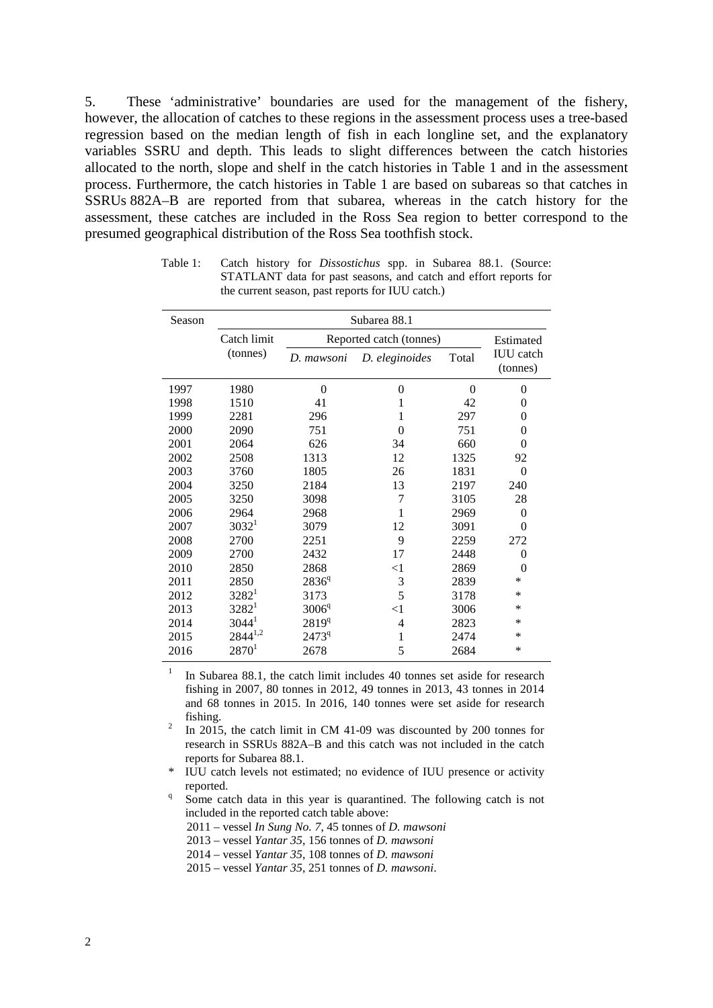5. These 'administrative' boundaries are used for the management of the fishery, however, the allocation of catches to these regions in the assessment process uses a tree-based regression based on the median length of fish in each longline set, and the explanatory variables SSRU and depth. This leads to slight differences between the catch histories allocated to the north, slope and shelf in the catch histories in Table 1 and in the assessment process. Furthermore, the catch histories in Table 1 are based on subareas so that catches in SSRUs 882A–B are reported from that subarea, whereas in the catch history for the assessment, these catches are included in the Ross Sea region to better correspond to the presumed geographical distribution of the Ross Sea toothfish stock.

| Season | Subarea 88.1 |                   |                         |          |                              |  |  |  |  |  |  |
|--------|--------------|-------------------|-------------------------|----------|------------------------------|--|--|--|--|--|--|
|        | Catch limit  |                   | Reported catch (tonnes) |          | Estimated                    |  |  |  |  |  |  |
|        | (tonnes)     | D. mawsoni        | D. eleginoides          | Total    | <b>IUU</b> catch<br>(tonnes) |  |  |  |  |  |  |
| 1997   | 1980         | $\theta$          | 0                       | $\Omega$ | $\overline{0}$               |  |  |  |  |  |  |
| 1998   | 1510         | 41                | 1                       | 42       | 0                            |  |  |  |  |  |  |
| 1999   | 2281         | 296               | 1                       | 297      | 0                            |  |  |  |  |  |  |
| 2000   | 2090         | 751               | 0                       | 751      | 0                            |  |  |  |  |  |  |
| 2001   | 2064         | 626               | 34                      | 660      | $\overline{0}$               |  |  |  |  |  |  |
| 2002   | 2508         | 1313              | 12                      | 1325     | 92                           |  |  |  |  |  |  |
| 2003   | 3760         | 1805              | 26                      | 1831     | $\theta$                     |  |  |  |  |  |  |
| 2004   | 3250         | 2184              | 13                      | 2197     | 240                          |  |  |  |  |  |  |
| 2005   | 3250         | 3098              | 7                       | 3105     | 28                           |  |  |  |  |  |  |
| 2006   | 2964         | 2968              | 1                       | 2969     | $\overline{0}$               |  |  |  |  |  |  |
| 2007   | $3032^1$     | 3079              | 12                      | 3091     | $\theta$                     |  |  |  |  |  |  |
| 2008   | 2700         | 2251              | 9                       | 2259     | 272                          |  |  |  |  |  |  |
| 2009   | 2700         | 2432              | 17                      | 2448     | $\theta$                     |  |  |  |  |  |  |
| 2010   | 2850         | 2868              | $<$ 1                   | 2869     | $\theta$                     |  |  |  |  |  |  |
| 2011   | 2850         | $2836^q$          | 3                       | 2839     | $\ast$                       |  |  |  |  |  |  |
| 2012   | $3282^1$     | 3173              | 5                       | 3178     | *                            |  |  |  |  |  |  |
| 2013   | $3282^1$     | 3006 <sup>q</sup> | $<$ 1                   | 3006     | ∗                            |  |  |  |  |  |  |
| 2014   | $3044^1$     | 2819 <sup>q</sup> | 4                       | 2823     | ∗                            |  |  |  |  |  |  |
| 2015   | $2844^{1,2}$ | 2473 <sup>q</sup> | 1                       | 2474     | ∗                            |  |  |  |  |  |  |
| 2016   | $2870^{1}$   | 2678              | 5                       | 2684     | $\ast$                       |  |  |  |  |  |  |

Table 1: Catch history for *Dissostichus* spp. in Subarea 88.1. (Source: STATLANT data for past seasons, and catch and effort reports for the current season, past reports for IUU catch.)

In Subarea 88.1, the catch limit includes 40 tonnes set aside for research fishing in 2007, 80 tonnes in 2012, 49 tonnes in 2013, 43 tonnes in 2014 and 68 tonnes in 2015. In 2016, 140 tonnes were set aside for research fishing.<br><sup>2</sup> In 2015, the catch limit in CM 41-09 was discounted by 200 tonnes for

research in SSRUs 882A–B and this catch was not included in the catch reports for Subarea 88.1.

IUU catch levels not estimated; no evidence of IUU presence or activity reported.<br>Some catch data in this year is quarantined. The following catch is not

included in the reported catch table above:

2011 – vessel *In Sung No. 7*, 45 tonnes of *D. mawsoni*

2013 – vessel *Yantar 35*, 156 tonnes of *D. mawsoni*

- 2014 vessel *Yantar 35*, 108 tonnes of *D. mawsoni*
- 2015 vessel *Yantar 35*, 251 tonnes of *D. mawsoni*.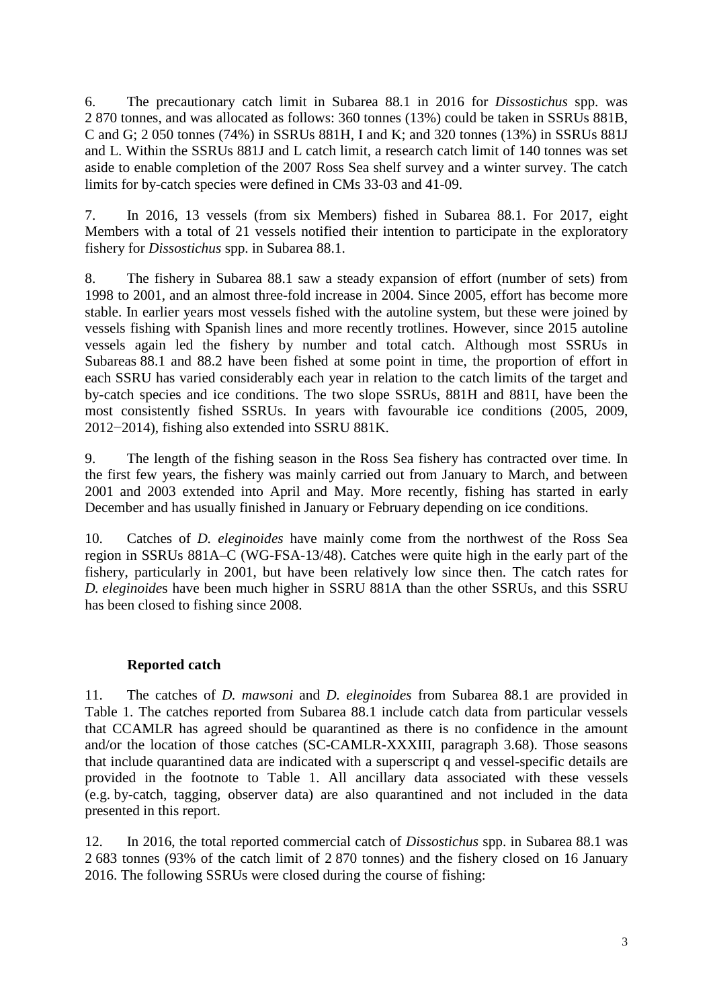6. The precautionary catch limit in Subarea 88.1 in 2016 for *Dissostichus* spp. was 2 870 tonnes, and was allocated as follows: 360 tonnes (13%) could be taken in SSRUs 881B, C and G; 2 050 tonnes (74%) in SSRUs 881H, I and K; and 320 tonnes (13%) in SSRUs 881J and L. Within the SSRUs 881J and L catch limit, a research catch limit of 140 tonnes was set aside to enable completion of the 2007 Ross Sea shelf survey and a winter survey. The catch limits for by-catch species were defined in CMs 33-03 and 41-09.

7. In 2016, 13 vessels (from six Members) fished in Subarea 88.1. For 2017, eight Members with a total of 21 vessels notified their intention to participate in the exploratory fishery for *Dissostichus* spp. in Subarea 88.1.

8. The fishery in Subarea 88.1 saw a steady expansion of effort (number of sets) from 1998 to 2001, and an almost three-fold increase in 2004. Since 2005, effort has become more stable. In earlier years most vessels fished with the autoline system, but these were joined by vessels fishing with Spanish lines and more recently trotlines. However, since 2015 autoline vessels again led the fishery by number and total catch. Although most SSRUs in Subareas 88.1 and 88.2 have been fished at some point in time, the proportion of effort in each SSRU has varied considerably each year in relation to the catch limits of the target and by-catch species and ice conditions. The two slope SSRUs, 881H and 881I, have been the most consistently fished SSRUs. In years with favourable ice conditions (2005, 2009, 2012−2014), fishing also extended into SSRU 881K.

9. The length of the fishing season in the Ross Sea fishery has contracted over time. In the first few years, the fishery was mainly carried out from January to March, and between 2001 and 2003 extended into April and May. More recently, fishing has started in early December and has usually finished in January or February depending on ice conditions.

10. Catches of *D. eleginoides* have mainly come from the northwest of the Ross Sea region in SSRUs 881A–C (WG-FSA-13/48). Catches were quite high in the early part of the fishery, particularly in 2001, but have been relatively low since then. The catch rates for *D. eleginoide*s have been much higher in SSRU 881A than the other SSRUs, and this SSRU has been closed to fishing since 2008.

# **Reported catch**

11. The catches of *D. mawsoni* and *D. eleginoides* from Subarea 88.1 are provided in Table 1. The catches reported from Subarea 88.1 include catch data from particular vessels that CCAMLR has agreed should be quarantined as there is no confidence in the amount and/or the location of those catches (SC-CAMLR-XXXIII, paragraph 3.68). Those seasons that include quarantined data are indicated with a superscript q and vessel-specific details are provided in the footnote to Table 1. All ancillary data associated with these vessels (e.g. by-catch, tagging, observer data) are also quarantined and not included in the data presented in this report.

12. In 2016, the total reported commercial catch of *Dissostichus* spp. in Subarea 88.1 was 2 683 tonnes (93% of the catch limit of 2 870 tonnes) and the fishery closed on 16 January 2016. The following SSRUs were closed during the course of fishing: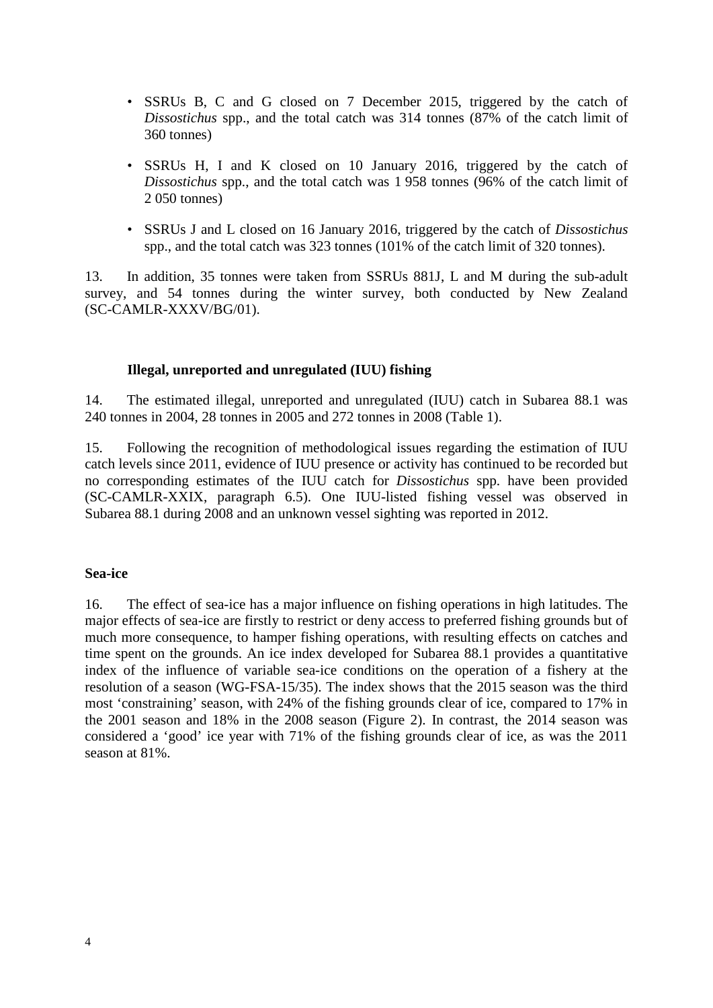- SSRUs B, C and G closed on 7 December 2015, triggered by the catch of *Dissostichus* spp., and the total catch was 314 tonnes (87% of the catch limit of 360 tonnes)
- SSRUs H, I and K closed on 10 January 2016, triggered by the catch of *Dissostichus* spp., and the total catch was 1 958 tonnes (96% of the catch limit of 2 050 tonnes)
- SSRUs J and L closed on 16 January 2016, triggered by the catch of *Dissostichus*  spp., and the total catch was 323 tonnes (101% of the catch limit of 320 tonnes).

13. In addition, 35 tonnes were taken from SSRUs 881J, L and M during the sub-adult survey, and 54 tonnes during the winter survey, both conducted by New Zealand (SC-CAMLR-XXXV/BG/01).

# **Illegal, unreported and unregulated (IUU) fishing**

14. The estimated illegal, unreported and unregulated (IUU) catch in Subarea 88.1 was 240 tonnes in 2004, 28 tonnes in 2005 and 272 tonnes in 2008 (Table 1).

15. Following the recognition of methodological issues regarding the estimation of IUU catch levels since 2011, evidence of IUU presence or activity has continued to be recorded but no corresponding estimates of the IUU catch for *Dissostichus* spp. have been provided (SC-CAMLR-XXIX, paragraph 6.5). One IUU-listed fishing vessel was observed in Subarea 88.1 during 2008 and an unknown vessel sighting was reported in 2012.

### **Sea-ice**

16. The effect of sea-ice has a major influence on fishing operations in high latitudes. The major effects of sea-ice are firstly to restrict or deny access to preferred fishing grounds but of much more consequence, to hamper fishing operations, with resulting effects on catches and time spent on the grounds. An ice index developed for Subarea 88.1 provides a quantitative index of the influence of variable sea-ice conditions on the operation of a fishery at the resolution of a season (WG-FSA-15/35). The index shows that the 2015 season was the third most 'constraining' season, with 24% of the fishing grounds clear of ice, compared to 17% in the 2001 season and 18% in the 2008 season (Figure 2). In contrast, the 2014 season was considered a 'good' ice year with 71% of the fishing grounds clear of ice, as was the 2011 season at 81%.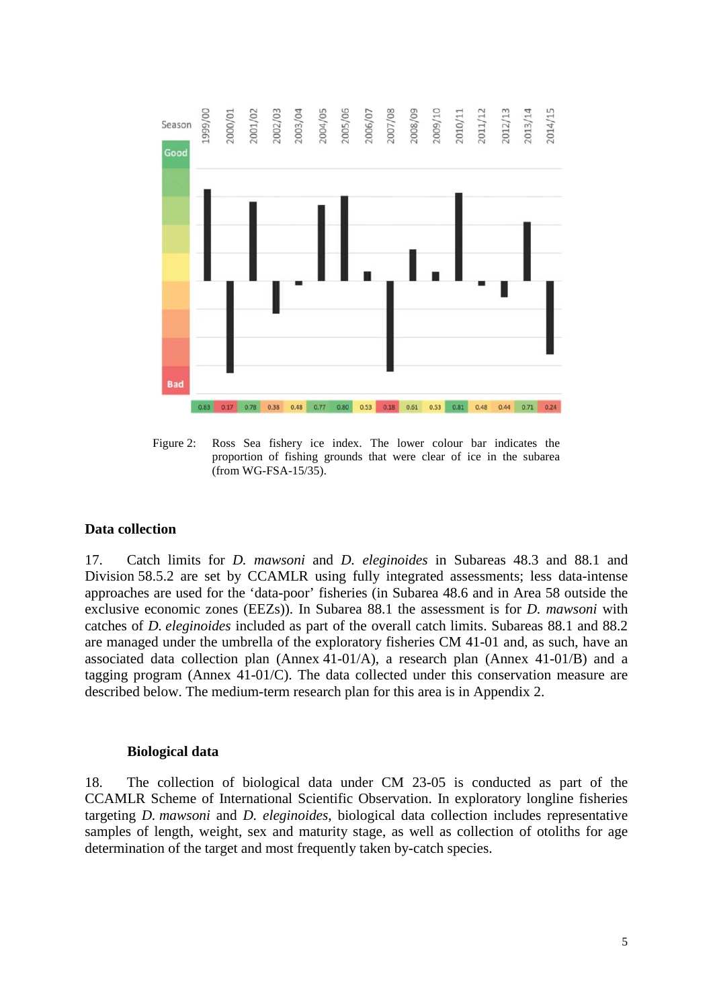

Figure 2: Ross Sea fishery ice index. The lower colour bar indicates the proportion of fishing grounds that were clear of ice in the subarea (from WG-FSA-15/35).

### **Data collection**

17. Catch limits for *D. mawsoni* and *D. eleginoides* in Subareas 48.3 and 88.1 and Division 58.5.2 are set by CCAMLR using fully integrated assessments; less data-intense approaches are used for the 'data-poor' fisheries (in Subarea 48.6 and in Area 58 outside the exclusive economic zones (EEZs)). In Subarea 88.1 the assessment is for *D. mawsoni* with catches of *D. eleginoides* included as part of the overall catch limits. Subareas 88.1 and 88.2 are managed under the umbrella of the exploratory fisheries CM 41-01 and, as such, have an associated data collection plan (Annex 41-01/A), a research plan (Annex 41-01/B) and a tagging program (Annex 41-01/C). The data collected under this conservation measure are described below. The medium-term research plan for this area is in Appendix 2.

### **Biological data**

18. The collection of biological data under CM 23-05 is conducted as part of the CCAMLR Scheme of International Scientific Observation. In exploratory longline fisheries targeting *D. mawsoni* and *D. eleginoides*, biological data collection includes representative samples of length, weight, sex and maturity stage, as well as collection of otoliths for age determination of the target and most frequently taken by-catch species.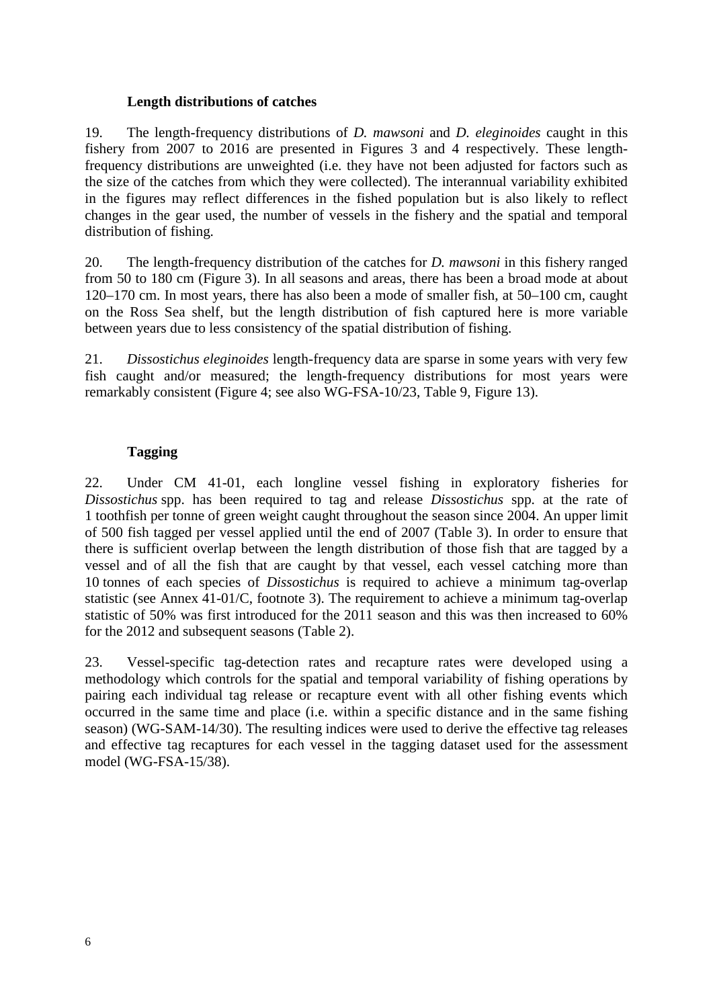### **Length distributions of catches**

19. The length-frequency distributions of *D. mawsoni* and *D. eleginoides* caught in this fishery from 2007 to 2016 are presented in Figures 3 and 4 respectively. These lengthfrequency distributions are unweighted (i.e. they have not been adjusted for factors such as the size of the catches from which they were collected). The interannual variability exhibited in the figures may reflect differences in the fished population but is also likely to reflect changes in the gear used, the number of vessels in the fishery and the spatial and temporal distribution of fishing.

20. The length-frequency distribution of the catches for *D. mawsoni* in this fishery ranged from 50 to 180 cm (Figure 3). In all seasons and areas, there has been a broad mode at about 120–170 cm. In most years, there has also been a mode of smaller fish, at 50–100 cm, caught on the Ross Sea shelf, but the length distribution of fish captured here is more variable between years due to less consistency of the spatial distribution of fishing.

21. *Dissostichus eleginoides* length-frequency data are sparse in some years with very few fish caught and/or measured; the length-frequency distributions for most years were remarkably consistent (Figure 4; see also WG-FSA-10/23, Table 9, Figure 13).

# **Tagging**

22. Under CM 41-01, each longline vessel fishing in exploratory fisheries for *Dissostichus* spp. has been required to tag and release *Dissostichus* spp. at the rate of 1 toothfish per tonne of green weight caught throughout the season since 2004. An upper limit of 500 fish tagged per vessel applied until the end of 2007 (Table 3). In order to ensure that there is sufficient overlap between the length distribution of those fish that are tagged by a vessel and of all the fish that are caught by that vessel, each vessel catching more than 10 tonnes of each species of *Dissostichus* is required to achieve a minimum tag-overlap statistic (see Annex 41-01/C, footnote 3). The requirement to achieve a minimum tag-overlap statistic of 50% was first introduced for the 2011 season and this was then increased to 60% for the 2012 and subsequent seasons (Table 2).

23. Vessel-specific tag-detection rates and recapture rates were developed using a methodology which controls for the spatial and temporal variability of fishing operations by pairing each individual tag release or recapture event with all other fishing events which occurred in the same time and place (i.e. within a specific distance and in the same fishing season) (WG-SAM-14/30). The resulting indices were used to derive the effective tag releases and effective tag recaptures for each vessel in the tagging dataset used for the assessment model (WG-FSA-15/38).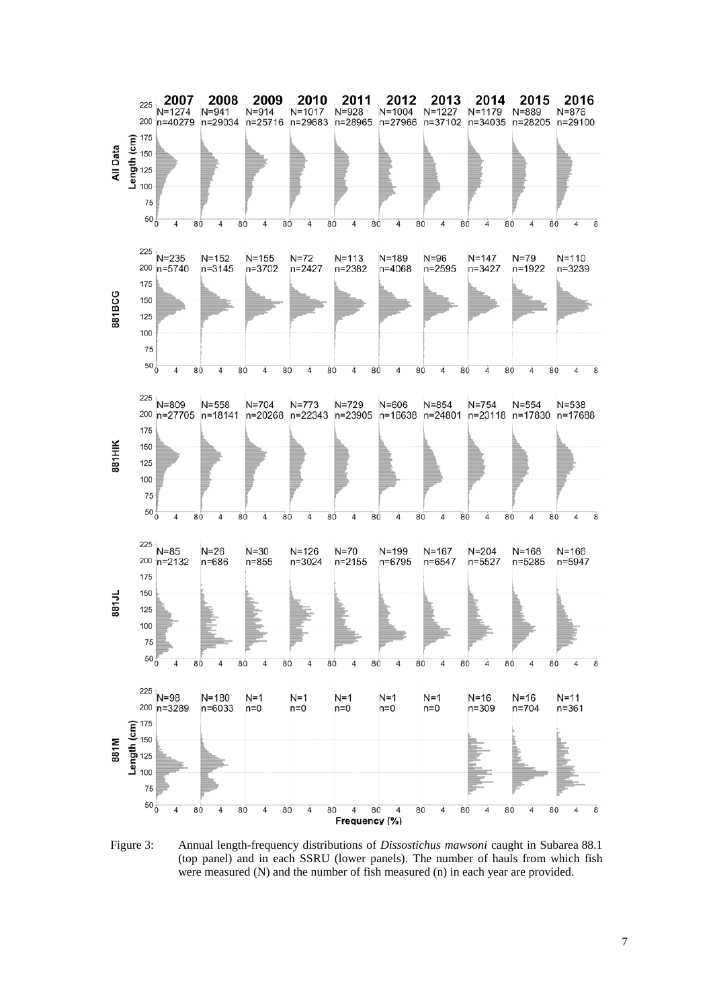

Figure 3: Annual length-frequency distributions of *Dissostichus mawsoni* caught in Subarea 88.1 (top panel) and in each SSRU (lower panels). The number of hauls from which fish were measured (N) and the number of fish measured (n) in each year are provided.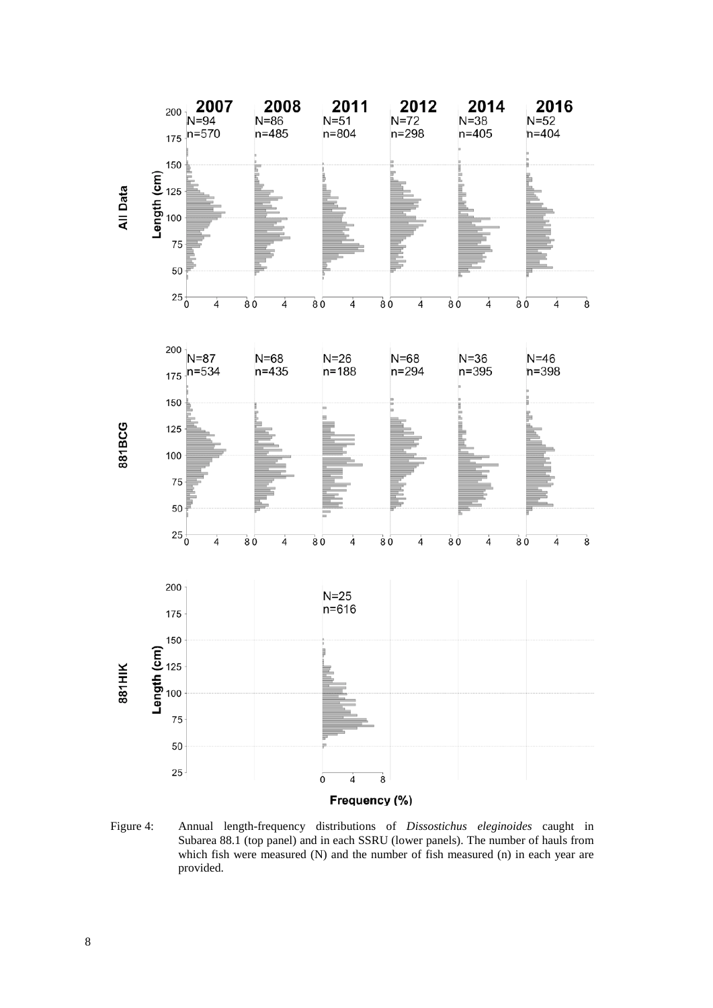

Figure 4: Annual length-frequency distributions of *Dissostichus eleginoides* caught in Subarea 88.1 (top panel) and in each SSRU (lower panels). The number of hauls from which fish were measured (N) and the number of fish measured (n) in each year are provided.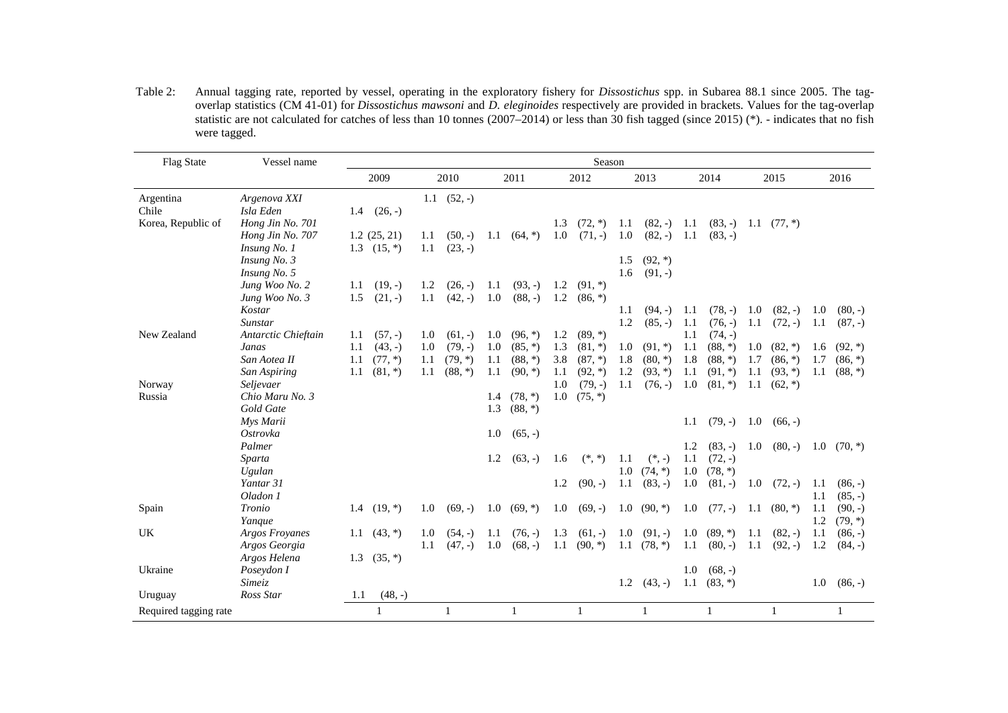Table 2: Annual tagging rate, reported by vessel, operating in the exploratory fishery for *Dissostichus* spp. in Subarea 88.1 since 2005. The tagoverlap statistics (CM 41-01) for *Dissostichus mawsoni* and *D. eleginoides* respectively are provided in brackets. Values for the tag-overlap statistic are not calculated for catches of less than 10 tonnes (2007–2014) or less than 30 fish tagged (since 2015) (\*). - indicates that no fish were tagged.

| Flag State            | Vessel name           |     |               |     |                     |     |           |     | Season    |     |              |      |              |     |               |     |           |
|-----------------------|-----------------------|-----|---------------|-----|---------------------|-----|-----------|-----|-----------|-----|--------------|------|--------------|-----|---------------|-----|-----------|
|                       |                       |     | 2009          |     | 2010                |     | 2011      |     | 2012      |     | 2013         |      | 2014         |     | 2015          |     | 2016      |
| Argentina             | Argenova XXI          |     |               |     | $1.1 \quad (52, -)$ |     |           |     |           |     |              |      |              |     |               |     |           |
| Chile                 | Isla Eden             | 1.4 | $(26, -)$     |     |                     |     |           |     |           |     |              |      |              |     |               |     |           |
| Korea, Republic of    | Hong Jin No. 701      |     |               |     |                     |     |           | 1.3 | $(72, *)$ | 1.1 | $(82, -)$    | 1.1  | $(83, -)$    |     | 1.1 $(77, *)$ |     |           |
|                       | Hong Jin No. 707      |     | 1.2(25, 21)   | 1.1 | $(50, -)$           | 1.1 | $(64, *)$ | 1.0 | $(71, -)$ | 1.0 | $(82, -)$    | 1.1  | $(83, -)$    |     |               |     |           |
|                       | Insung No. 1          |     | 1.3 $(15, *)$ | 1.1 | $(23, -)$           |     |           |     |           |     |              |      |              |     |               |     |           |
|                       | Insung No. 3          |     |               |     |                     |     |           |     |           | 1.5 | $(92, *)$    |      |              |     |               |     |           |
|                       | Insung No. 5          |     |               |     |                     |     |           |     |           | 1.6 | $(91, -)$    |      |              |     |               |     |           |
|                       | Jung Woo No. 2        | 1.1 | $(19, -)$     | 1.2 | $(26, -)$           | 1.1 | $(93, -)$ | 1.2 | $(91, *)$ |     |              |      |              |     |               |     |           |
|                       | Jung Woo No. 3        | 1.5 | $(21, -)$     | 1.1 | $(42, -)$           | 1.0 | $(88, -)$ | 1.2 | $(86, *)$ |     |              |      |              |     |               |     |           |
|                       | Kostar                |     |               |     |                     |     |           |     |           | 1.1 | $(94, -)$    | -1.1 | $(78, -)$    | 1.0 | $(82, -)$     | 1.0 | $(80, -)$ |
|                       | Sunstar               |     |               |     |                     |     |           |     |           | 1.2 | $(85, -)$    | 1.1  | $(76, -)$    | 1.1 | $(72, -)$     | 1.1 | $(87, -)$ |
| New Zealand           | Antarctic Chieftain   | 1.1 | $(57, -)$     | 1.0 | $(61, -)$           | 1.0 | $(96, *)$ | 1.2 | $(89,*)$  |     |              | 1.1  | $(74, -)$    |     |               |     |           |
|                       | Janas                 | 1.1 | $(43, -)$     | 1.0 | $(79, -)$           | 1.0 | $(85, *)$ | 1.3 | $(81, *)$ | 1.0 | $(91, *)$    | 1.1  | $(88,*)$     | 1.0 | $(82,*)$      | 1.6 | $(92, *)$ |
|                       | San Aotea II          | 1.1 | $(77, *)$     | 1.1 | $(79, *)$           | 1.1 | $(88,*)$  | 3.8 | $(87,*)$  | 1.8 | $(80, *)$    | 1.8  | $(88,*)$     | 1.7 | $(86, *)$     | 1.7 | $(86, *)$ |
|                       | San Aspiring          | 1.1 | $(81, *)$     | 1.1 | $(88, *)$           | 1.1 | $(90, *)$ | 1.1 | $(92, *)$ | 1.2 | $(93, *)$    | 1.1  | $(91, *)$    | 1.1 | $(93, *)$     | 1.1 | $(88,*)$  |
| Norway                | Seljevaer             |     |               |     |                     |     |           | 1.0 | $(79, -)$ | 1.1 | $(76, -)$    | 1.0  | $(81, *)$    | 1.1 | $(62, *)$     |     |           |
| Russia                | Chio Maru No. 3       |     |               |     |                     | 1.4 | $(78, *)$ | 1.0 | $(75, *)$ |     |              |      |              |     |               |     |           |
|                       | Gold Gate             |     |               |     |                     | 1.3 | $(88,*)$  |     |           |     |              |      |              |     |               |     |           |
|                       | Mys Marii             |     |               |     |                     |     |           |     |           |     |              | 1.1  | $(79, -)$    | 1.0 | $(66, -)$     |     |           |
|                       | Ostrovka              |     |               |     |                     | 1.0 | $(65, -)$ |     |           |     |              |      |              |     |               |     |           |
|                       | Palmer                |     |               |     |                     |     |           |     |           |     |              | 1.2  | $(83, -)$    | 1.0 | $(80, -)$     | 1.0 | $(70, *)$ |
|                       | Sparta                |     |               |     |                     | 1.2 | $(63, -)$ | 1.6 | $(*, *)$  | 1.1 | $(*, -)$     | 1.1  | $(72, -)$    |     |               |     |           |
|                       | Ugulan                |     |               |     |                     |     |           |     |           | 1.0 | $(74, *)$    | 1.0  | $(78, *)$    |     |               |     |           |
|                       | Yantar 31             |     |               |     |                     |     |           | 1.2 | $(90, -)$ | 1.1 | $(83, -)$    | 1.0  | $(81, -)$    | 1.0 | $(72, -)$     | 1.1 | $(86, -)$ |
|                       | Oladon 1              |     |               |     |                     |     |           |     |           |     |              |      |              |     |               | 1.1 | $(85, -)$ |
| Spain                 | Tronio                | 1.4 | $(19, *)$     | 1.0 | $(69, -)$           | 1.0 | $(69, *)$ | 1.0 | $(69, -)$ | 1.0 | $(90, *)$    | 1.0  | $(77, -)$    | 1.1 | $(80, *)$     | 1.1 | $(90, -)$ |
|                       | Yanque                |     |               |     |                     |     |           |     |           |     |              |      |              |     |               | 1.2 | $(79, *)$ |
| <b>UK</b>             | <b>Argos Froyanes</b> | 1.1 | $(43, *)$     | 1.0 | $(54, -)$           | 1.1 | $(76, -)$ | 1.3 | $(61, -)$ | 1.0 | $(91, -)$    | 1.0  | $(89,*)$     | 1.1 | $(82, -)$     | 1.1 | $(86, -)$ |
|                       | Argos Georgia         |     |               | 1.1 | $(47, -)$           | 1.0 | $(68, -)$ | 1.1 | $(90, *)$ | 1.1 | $(78, *)$    | 1.1  | $(80, -)$    | 1.1 | $(92, -)$     | 1.2 | $(84, -)$ |
|                       | Argos Helena          | 1.3 | $(35, *)$     |     |                     |     |           |     |           |     |              |      |              |     |               |     |           |
| Ukraine               | Poseydon I            |     |               |     |                     |     |           |     |           |     |              | 1.0  | $(68, -)$    |     |               |     |           |
|                       | Simeiz                |     |               |     |                     |     |           |     |           | 1.2 | $(43, -)$    | 1.1  | $(83, *)$    |     |               | 1.0 | $(86, -)$ |
| Uruguay               | Ross Star             | 1.1 | $(48, -)$     |     |                     |     |           |     |           |     |              |      |              |     |               |     |           |
| Required tagging rate |                       |     | 1             |     | 1                   |     | 1         |     | 1         |     | $\mathbf{1}$ |      | $\mathbf{1}$ |     | 1             |     | 1         |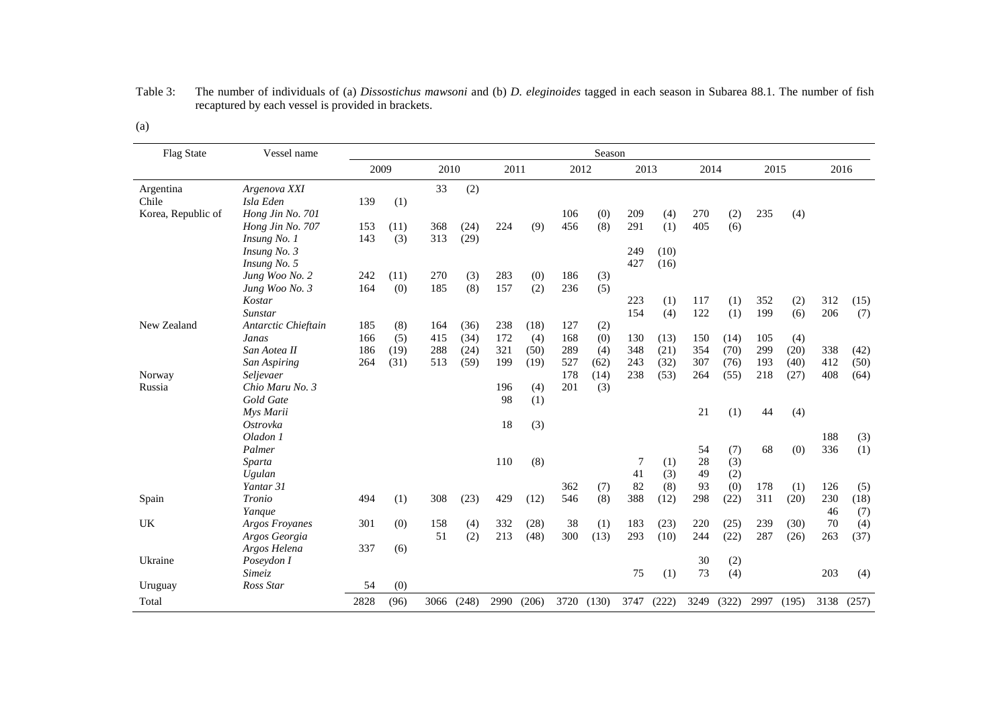| <b>Flag State</b>  | Vessel name           |      |      |      |       |      |       |      | Season |      |       |      |       |      |       |      |            |
|--------------------|-----------------------|------|------|------|-------|------|-------|------|--------|------|-------|------|-------|------|-------|------|------------|
|                    |                       | 2009 |      | 2010 |       | 2011 |       | 2012 |        | 2013 |       | 2014 |       | 2015 |       | 2016 |            |
| Argentina          | Argenova XXI          |      |      | 33   | (2)   |      |       |      |        |      |       |      |       |      |       |      |            |
| Chile              | Isla Eden             | 139  | (1)  |      |       |      |       |      |        |      |       |      |       |      |       |      |            |
| Korea, Republic of | Hong Jin No. 701      |      |      |      |       |      |       | 106  | (0)    | 209  | (4)   | 270  | (2)   | 235  | (4)   |      |            |
|                    | Hong Jin No. 707      | 153  | (11) | 368  | (24)  | 224  | (9)   | 456  | (8)    | 291  | (1)   | 405  | (6)   |      |       |      |            |
|                    | Insung No. 1          | 143  | (3)  | 313  | (29)  |      |       |      |        |      |       |      |       |      |       |      |            |
|                    | Insung No. 3          |      |      |      |       |      |       |      |        | 249  | (10)  |      |       |      |       |      |            |
|                    | Insung No. 5          |      |      |      |       |      |       |      |        | 427  | (16)  |      |       |      |       |      |            |
|                    | Jung Woo No. 2        | 242  | (11) | 270  | (3)   | 283  | (0)   | 186  | (3)    |      |       |      |       |      |       |      |            |
|                    | Jung Woo No. 3        | 164  | (0)  | 185  | (8)   | 157  | (2)   | 236  | (5)    |      |       |      |       |      |       |      |            |
|                    | Kostar                |      |      |      |       |      |       |      |        | 223  | (1)   | 117  | (1)   | 352  | (2)   | 312  | (15)       |
|                    | Sunstar               |      |      |      |       |      |       |      |        | 154  | (4)   | 122  | (1)   | 199  | (6)   | 206  | (7)        |
| New Zealand        | Antarctic Chieftain   | 185  | (8)  | 164  | (36)  | 238  | (18)  | 127  | (2)    |      |       |      |       |      |       |      |            |
|                    | Janas                 | 166  | (5)  | 415  | (34)  | 172  | (4)   | 168  | (0)    | 130  | (13)  | 150  | (14)  | 105  | (4)   |      |            |
|                    | San Aotea II          | 186  | (19) | 288  | (24)  | 321  | (50)  | 289  | (4)    | 348  | (21)  | 354  | (70)  | 299  | (20)  | 338  | (42)       |
|                    | San Aspiring          | 264  | (31) | 513  | (59)  | 199  | (19)  | 527  | (62)   | 243  | (32)  | 307  | (76)  | 193  | (40)  | 412  | (50)       |
| Norway             | Seljevaer             |      |      |      |       |      |       | 178  | (14)   | 238  | (53)  | 264  | (55)  | 218  | (27)  | 408  | (64)       |
| Russia             | Chio Maru No. 3       |      |      |      |       | 196  | (4)   | 201  | (3)    |      |       |      |       |      |       |      |            |
|                    | Gold Gate             |      |      |      |       | 98   | (1)   |      |        |      |       |      |       |      |       |      |            |
|                    | Mys Marii             |      |      |      |       |      |       |      |        |      |       | 21   | (1)   | 44   | (4)   |      |            |
|                    | Ostrovka              |      |      |      |       | 18   | (3)   |      |        |      |       |      |       |      |       |      |            |
|                    | Oladon 1              |      |      |      |       |      |       |      |        |      |       |      |       |      |       | 188  | (3)        |
|                    | Palmer                |      |      |      |       |      |       |      |        |      |       | 54   | (7)   | 68   | (0)   | 336  | (1)        |
|                    | Sparta                |      |      |      |       | 110  | (8)   |      |        | 7    | (1)   | 28   | (3)   |      |       |      |            |
|                    | Ugulan                |      |      |      |       |      |       |      |        | 41   | (3)   | 49   | (2)   |      |       |      |            |
|                    | Yantar 31             |      |      |      |       |      |       | 362  | (7)    | 82   | (8)   | 93   | (0)   | 178  | (1)   | 126  | (5)        |
| Spain              | Tronio                | 494  | (1)  | 308  | (23)  | 429  | (12)  | 546  | (8)    | 388  | (12)  | 298  | (22)  | 311  | (20)  | 230  | (18)       |
|                    | Yanque                |      |      |      |       |      |       |      |        |      |       |      |       |      |       | 46   | (7)        |
| UK                 | <b>Argos Froyanes</b> | 301  | (0)  | 158  | (4)   | 332  | (28)  | 38   | (1)    | 183  | (23)  | 220  | (25)  | 239  | (30)  | 70   | (4)        |
|                    | Argos Georgia         |      |      | 51   | (2)   | 213  | (48)  | 300  | (13)   | 293  | (10)  | 244  | (22)  | 287  | (26)  | 263  | (37)       |
|                    | Argos Helena          | 337  | (6)  |      |       |      |       |      |        |      |       |      |       |      |       |      |            |
| Ukraine            | Poseydon I            |      |      |      |       |      |       |      |        |      |       | 30   | (2)   |      |       |      |            |
|                    | Simeiz                |      |      |      |       |      |       |      |        | 75   | (1)   | 73   | (4)   |      |       | 203  | (4)        |
| Uruguay            | Ross Star             | 54   | (0)  |      |       |      |       |      |        |      |       |      |       |      |       |      |            |
| Total              |                       | 2828 | (96) | 3066 | (248) | 2990 | (206) | 3720 | (130)  | 3747 | (222) | 3249 | (322) | 2997 | (195) |      | 3138 (257) |

#### Table 3: The number of individuals of (a) *Dissostichus mawsoni* and (b) *D. eleginoides* tagged in each season in Subarea 88.1. The number of fish recaptured by each vessel is provided in brackets.

(a)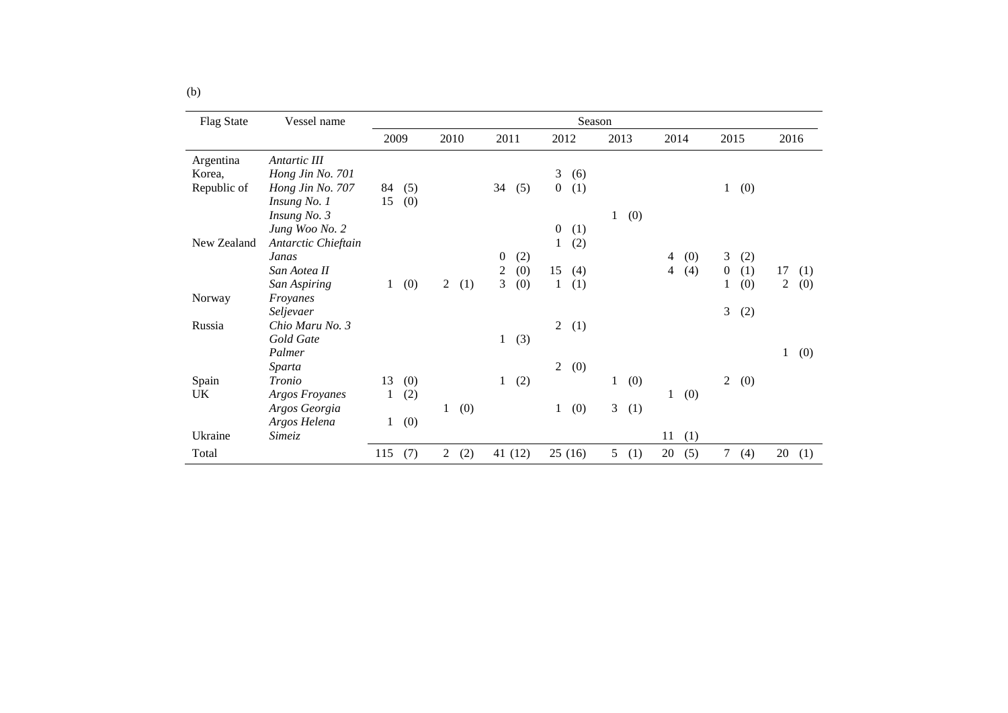| <b>Flag State</b> | Vessel name           | Season       |     |                |     |                  |         |                  |        |                |      |                |     |                  |     |                  |     |
|-------------------|-----------------------|--------------|-----|----------------|-----|------------------|---------|------------------|--------|----------------|------|----------------|-----|------------------|-----|------------------|-----|
|                   |                       | 2009         |     | 2010           |     | 2011             |         | 2012             |        | 2013           |      | 2014           |     | 2015             |     | 2016             |     |
| Argentina         | Antartic III          |              |     |                |     |                  |         |                  |        |                |      |                |     |                  |     |                  |     |
| Korea,            | Hong Jin No. 701      |              |     |                |     |                  |         | 3                | (6)    |                |      |                |     |                  |     |                  |     |
| Republic of       | Hong Jin No. 707      | 84           | (5) |                |     | 34               | (5)     | $\overline{0}$   | (1)    |                |      |                |     | 1                | (0) |                  |     |
|                   | Insung No. 1          | 15           | (0) |                |     |                  |         |                  |        |                |      |                |     |                  |     |                  |     |
|                   | Insung No. 3          |              |     |                |     |                  |         |                  |        | $\mathbf{1}$   | (0)  |                |     |                  |     |                  |     |
|                   | Jung Woo No. 2        |              |     |                |     |                  |         | $\boldsymbol{0}$ | (1)    |                |      |                |     |                  |     |                  |     |
| New Zealand       | Antarctic Chieftain   |              |     |                |     |                  |         | 1                | (2)    |                |      |                |     |                  |     |                  |     |
|                   | Janas                 |              |     |                |     | $\boldsymbol{0}$ | (2)     |                  |        |                |      | $\overline{4}$ | (0) | 3                | (2) |                  |     |
|                   | San Aotea II          |              |     |                |     | $\boldsymbol{2}$ | (0)     | 15               | (4)    |                |      | $\overline{4}$ | (4) | $\boldsymbol{0}$ | (1) | 17               | (1) |
|                   | San Aspiring          | $\mathbf{1}$ | (0) | $\overline{2}$ | (1) | $\overline{3}$   | (0)     | 1                | (1)    |                |      |                |     | 1                | (0) | $\boldsymbol{2}$ | (0) |
| Norway            | Froyanes              |              |     |                |     |                  |         |                  |        |                |      |                |     |                  |     |                  |     |
|                   | Seljevaer             |              |     |                |     |                  |         |                  |        |                |      |                |     | 3                | (2) |                  |     |
| Russia            | Chio Maru No. 3       |              |     |                |     |                  |         | $\overline{2}$   | (1)    |                |      |                |     |                  |     |                  |     |
|                   | Gold Gate             |              |     |                |     | $\mathbf{1}$     | (3)     |                  |        |                |      |                |     |                  |     |                  |     |
|                   | Palmer                |              |     |                |     |                  |         |                  |        |                |      |                |     |                  |     | $\mathbf{1}$     | (0) |
|                   | Sparta                |              |     |                |     |                  |         | $\overline{2}$   | (0)    |                |      |                |     |                  |     |                  |     |
| Spain             | Tronio                | 13           | (0) |                |     | $\mathbf{1}$     | (2)     |                  |        | 1              | (0)  |                |     | 2                | (0) |                  |     |
| UK                | <b>Argos Froyanes</b> | 1            | (2) |                |     |                  |         |                  |        |                |      | $\mathbf{1}$   | (0) |                  |     |                  |     |
|                   | Argos Georgia         |              |     | $\mathbf{1}$   | (0) |                  |         | 1                | (0)    |                | 3(1) |                |     |                  |     |                  |     |
|                   | Argos Helena          | $\mathbf{1}$ | (0) |                |     |                  |         |                  |        |                |      |                |     |                  |     |                  |     |
| Ukraine           | <i>Simeiz</i>         |              |     |                |     |                  |         |                  |        |                |      | 11             | (1) |                  |     |                  |     |
| Total             |                       | 115          | (7) | $\overline{2}$ | (2) |                  | 41 (12) |                  | 25(16) | 5 <sup>5</sup> | (1)  | 20             | (5) | $\tau$           | (4) | 20               | (1) |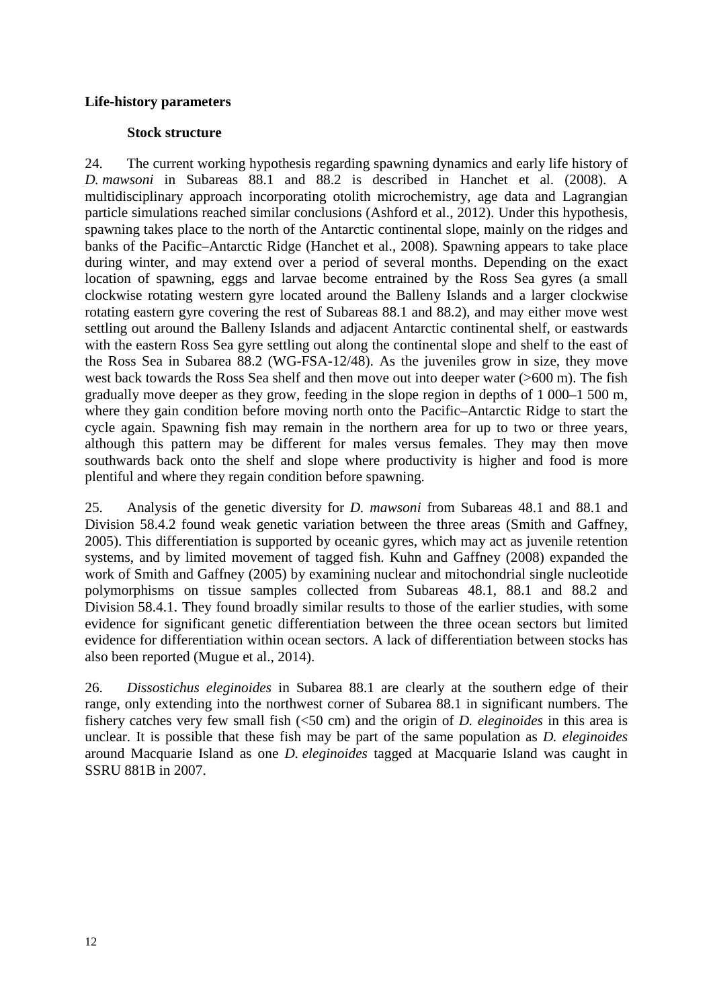# **Life-history parameters**

# **Stock structure**

24. The current working hypothesis regarding spawning dynamics and early life history of *D. mawsoni* in Subareas 88.1 and 88.2 is described in Hanchet et al. (2008). A multidisciplinary approach incorporating otolith microchemistry, age data and Lagrangian particle simulations reached similar conclusions (Ashford et al., 2012). Under this hypothesis, spawning takes place to the north of the Antarctic continental slope, mainly on the ridges and banks of the Pacific–Antarctic Ridge (Hanchet et al., 2008). Spawning appears to take place during winter, and may extend over a period of several months. Depending on the exact location of spawning, eggs and larvae become entrained by the Ross Sea gyres (a small clockwise rotating western gyre located around the Balleny Islands and a larger clockwise rotating eastern gyre covering the rest of Subareas 88.1 and 88.2), and may either move west settling out around the Balleny Islands and adjacent Antarctic continental shelf, or eastwards with the eastern Ross Sea gyre settling out along the continental slope and shelf to the east of the Ross Sea in Subarea 88.2 (WG-FSA-12/48). As the juveniles grow in size, they move west back towards the Ross Sea shelf and then move out into deeper water (>600 m). The fish gradually move deeper as they grow, feeding in the slope region in depths of 1 000–1 500 m, where they gain condition before moving north onto the Pacific–Antarctic Ridge to start the cycle again. Spawning fish may remain in the northern area for up to two or three years, although this pattern may be different for males versus females. They may then move southwards back onto the shelf and slope where productivity is higher and food is more plentiful and where they regain condition before spawning.

25. Analysis of the genetic diversity for *D. mawsoni* from Subareas 48.1 and 88.1 and Division 58.4.2 found weak genetic variation between the three areas (Smith and Gaffney, 2005). This differentiation is supported by oceanic gyres, which may act as juvenile retention systems, and by limited movement of tagged fish. Kuhn and Gaffney (2008) expanded the work of Smith and Gaffney (2005) by examining nuclear and mitochondrial single nucleotide polymorphisms on tissue samples collected from Subareas 48.1, 88.1 and 88.2 and Division 58.4.1. They found broadly similar results to those of the earlier studies, with some evidence for significant genetic differentiation between the three ocean sectors but limited evidence for differentiation within ocean sectors. A lack of differentiation between stocks has also been reported (Mugue et al., 2014).

26. *Dissostichus eleginoides* in Subarea 88.1 are clearly at the southern edge of their range, only extending into the northwest corner of Subarea 88.1 in significant numbers. The fishery catches very few small fish (<50 cm) and the origin of *D. eleginoides* in this area is unclear. It is possible that these fish may be part of the same population as *D. eleginoides* around Macquarie Island as one *D. eleginoides* tagged at Macquarie Island was caught in SSRU 881B in 2007.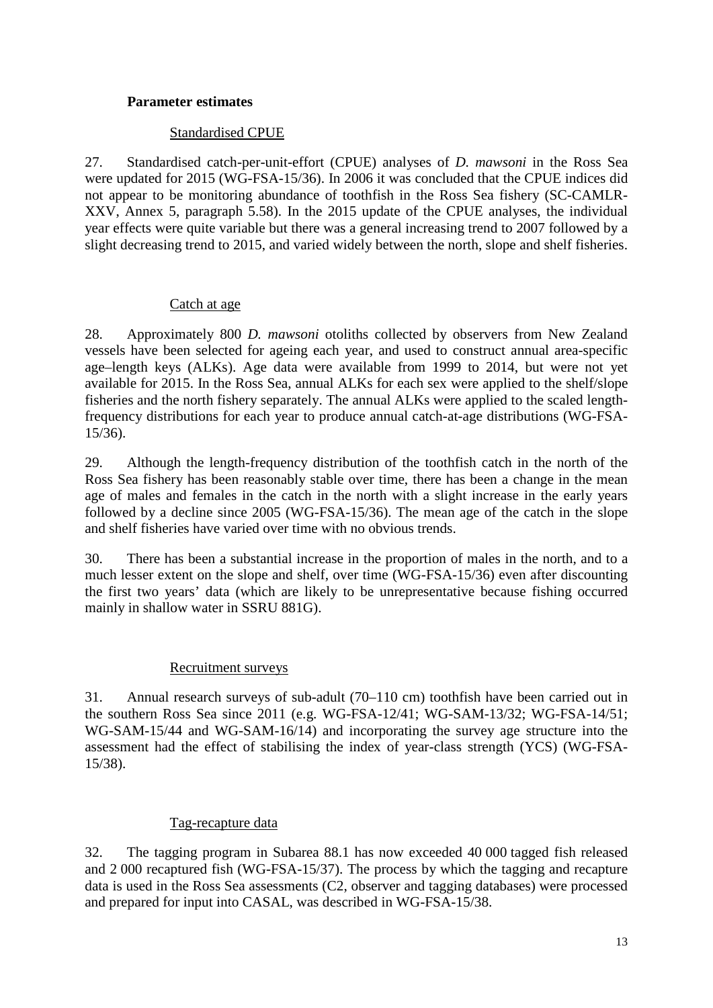### **Parameter estimates**

# Standardised CPUE

27. Standardised catch-per-unit-effort (CPUE) analyses of *D. mawsoni* in the Ross Sea were updated for 2015 (WG-FSA-15/36). In 2006 it was concluded that the CPUE indices did not appear to be monitoring abundance of toothfish in the Ross Sea fishery (SC-CAMLR-XXV, Annex 5, paragraph 5.58). In the 2015 update of the CPUE analyses, the individual year effects were quite variable but there was a general increasing trend to 2007 followed by a slight decreasing trend to 2015, and varied widely between the north, slope and shelf fisheries.

# Catch at age

28. Approximately 800 *D. mawsoni* otoliths collected by observers from New Zealand vessels have been selected for ageing each year, and used to construct annual area-specific age–length keys (ALKs). Age data were available from 1999 to 2014, but were not yet available for 2015. In the Ross Sea, annual ALKs for each sex were applied to the shelf/slope fisheries and the north fishery separately. The annual ALKs were applied to the scaled lengthfrequency distributions for each year to produce annual catch-at-age distributions (WG-FSA-15/36).

29. Although the length-frequency distribution of the toothfish catch in the north of the Ross Sea fishery has been reasonably stable over time, there has been a change in the mean age of males and females in the catch in the north with a slight increase in the early years followed by a decline since 2005 (WG-FSA-15/36). The mean age of the catch in the slope and shelf fisheries have varied over time with no obvious trends.

30. There has been a substantial increase in the proportion of males in the north, and to a much lesser extent on the slope and shelf, over time (WG-FSA-15/36) even after discounting the first two years' data (which are likely to be unrepresentative because fishing occurred mainly in shallow water in SSRU 881G).

# Recruitment surveys

31. Annual research surveys of sub-adult (70–110 cm) toothfish have been carried out in the southern Ross Sea since 2011 (e.g. WG-FSA-12/41; WG-SAM-13/32; WG-FSA-14/51; WG-SAM-15/44 and WG-SAM-16/14) and incorporating the survey age structure into the assessment had the effect of stabilising the index of year-class strength (YCS) (WG-FSA-15/38).

# Tag-recapture data

32. The tagging program in Subarea 88.1 has now exceeded 40 000 tagged fish released and 2 000 recaptured fish (WG-FSA-15/37). The process by which the tagging and recapture data is used in the Ross Sea assessments (C2, observer and tagging databases) were processed and prepared for input into CASAL, was described in WG-FSA-15/38.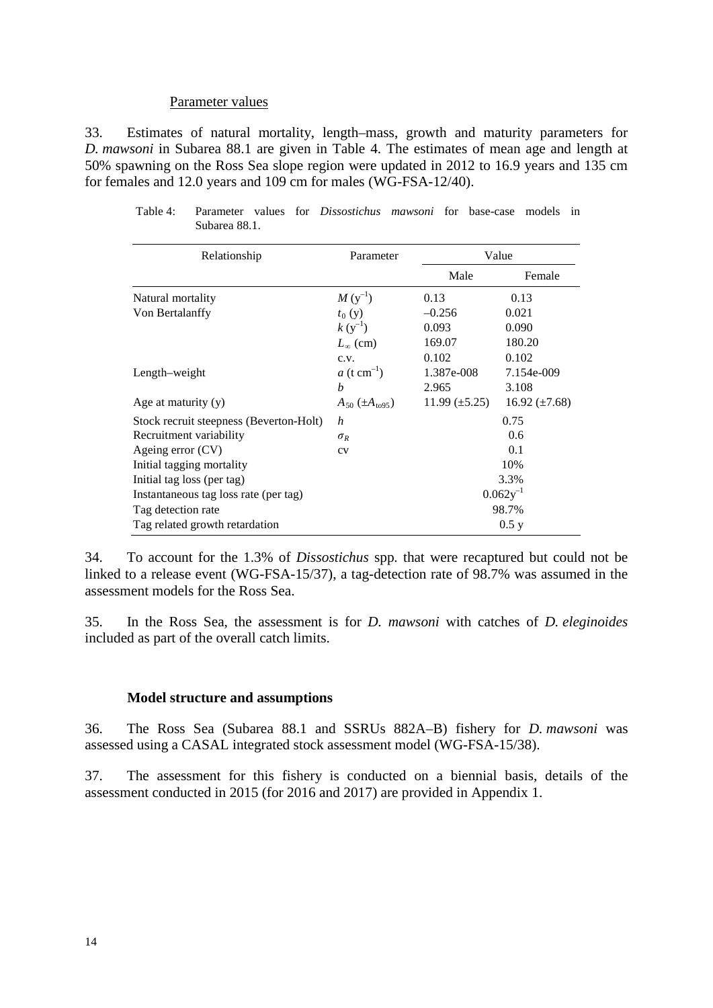#### Parameter values

33. Estimates of natural mortality, length–mass, growth and maturity parameters for *D. mawsoni* in Subarea 88.1 are given in Table 4. The estimates of mean age and length at 50% spawning on the Ross Sea slope region were updated in 2012 to 16.9 years and 135 cm for females and 12.0 years and 109 cm for males (WG-FSA-12/40).

| Relationship                            | Parameter                 |                      | Value              |
|-----------------------------------------|---------------------------|----------------------|--------------------|
|                                         |                           | Male                 | Female             |
| Natural mortality                       | $M(y^{-1})$               | 0.13                 | 0.13               |
| Von Bertalanffy                         | $t_0(y)$                  | $-0.256$             | 0.021              |
|                                         | $k(y^{-1})$               | 0.093                | 0.090              |
|                                         | $L_{\infty}$ (cm)         | 169.07               | 180.20             |
|                                         | c.v.                      | 0.102                | 0.102              |
| Length-weight                           | $a$ (t cm <sup>-1</sup> ) | 1.387e-008           | 7.154e-009         |
|                                         | b                         | 2.965                | 3.108              |
| Age at maturity $(y)$                   | $A_{50} (\pm A_{1095})$   | $11.99 \ (\pm 5.25)$ | 16.92 $(\pm 7.68)$ |
| Stock recruit steepness (Beverton-Holt) | h                         |                      | 0.75               |
| Recruitment variability                 | $\sigma_R$                |                      | 0.6                |
| Ageing error (CV)                       | CV                        |                      | 0.1                |
| Initial tagging mortality               |                           |                      | 10%                |
| Initial tag loss (per tag)              |                           |                      | 3.3%               |
| Instantaneous tag loss rate (per tag)   |                           |                      | $0.062y^{-1}$      |
| Tag detection rate                      |                           |                      | 98.7%              |
| Tag related growth retardation          |                           |                      | 0.5 y              |

Table 4: Parameter values for *Dissostichus mawsoni* for base-case models in Subarea 88.1.

34. To account for the 1.3% of *Dissostichus* spp*.* that were recaptured but could not be linked to a release event (WG-FSA-15/37), a tag-detection rate of 98.7% was assumed in the assessment models for the Ross Sea.

35. In the Ross Sea, the assessment is for *D. mawsoni* with catches of *D. eleginoides* included as part of the overall catch limits.

#### **Model structure and assumptions**

36. The Ross Sea (Subarea 88.1 and SSRUs 882A–B) fishery for *D. mawsoni* was assessed using a CASAL integrated stock assessment model (WG-FSA-15/38).

37. The assessment for this fishery is conducted on a biennial basis, details of the assessment conducted in 2015 (for 2016 and 2017) are provided in Appendix 1.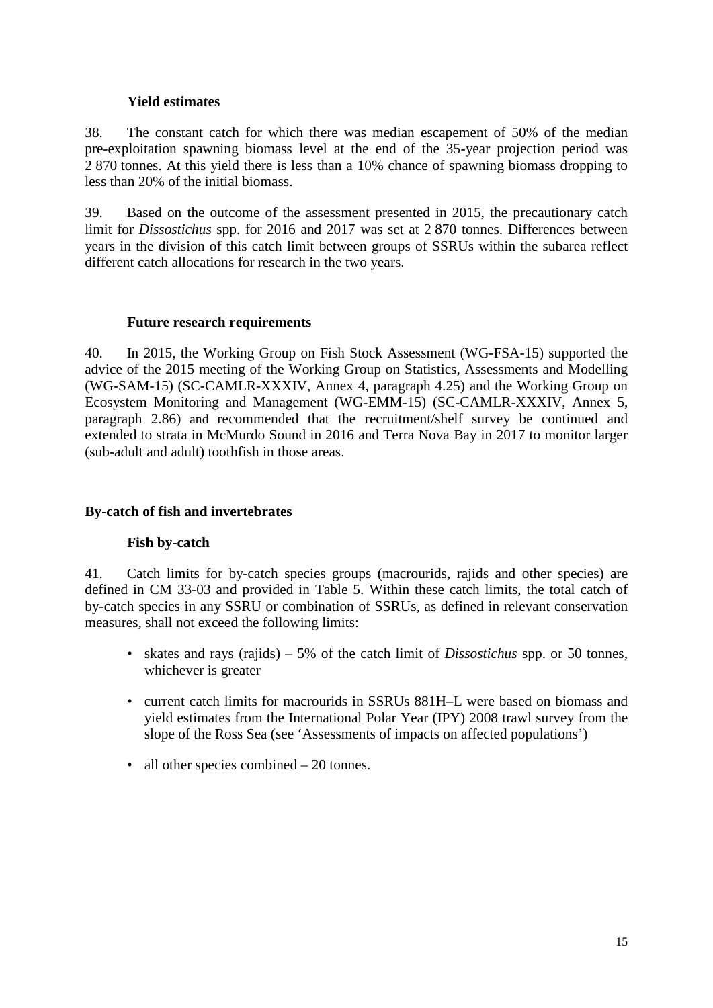# **Yield estimates**

38. The constant catch for which there was median escapement of 50% of the median pre-exploitation spawning biomass level at the end of the 35-year projection period was 2 870 tonnes. At this yield there is less than a 10% chance of spawning biomass dropping to less than 20% of the initial biomass.

39. Based on the outcome of the assessment presented in 2015, the precautionary catch limit for *Dissostichus* spp. for 2016 and 2017 was set at 2 870 tonnes. Differences between years in the division of this catch limit between groups of SSRUs within the subarea reflect different catch allocations for research in the two years.

# **Future research requirements**

40. In 2015, the Working Group on Fish Stock Assessment (WG-FSA-15) supported the advice of the 2015 meeting of the Working Group on Statistics, Assessments and Modelling (WG-SAM-15) (SC-CAMLR-XXXIV, Annex 4, paragraph 4.25) and the Working Group on Ecosystem Monitoring and Management (WG-EMM-15) (SC-CAMLR-XXXIV, Annex 5, paragraph 2.86) and recommended that the recruitment/shelf survey be continued and extended to strata in McMurdo Sound in 2016 and Terra Nova Bay in 2017 to monitor larger (sub-adult and adult) toothfish in those areas.

# **By-catch of fish and invertebrates**

### **Fish by-catch**

41. Catch limits for by-catch species groups (macrourids, rajids and other species) are defined in CM 33-03 and provided in Table 5. Within these catch limits, the total catch of by-catch species in any SSRU or combination of SSRUs, as defined in relevant conservation measures, shall not exceed the following limits:

- skates and rays (rajids) 5% of the catch limit of *Dissostichus* spp. or 50 tonnes, whichever is greater
- current catch limits for macrourids in SSRUs 881H–L were based on biomass and yield estimates from the International Polar Year (IPY) 2008 trawl survey from the slope of the Ross Sea (see 'Assessments of impacts on affected populations')
- all other species combined 20 tonnes.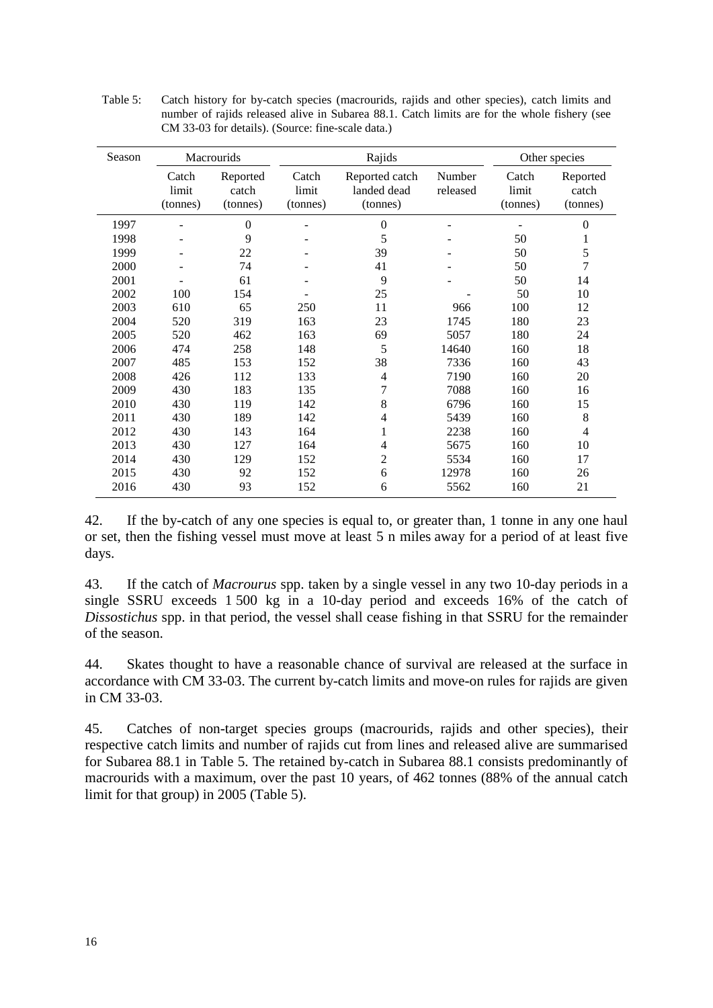| Season |                            | Macrourids                    |                            | Rajids                                    |                    |                            | Other species                 |
|--------|----------------------------|-------------------------------|----------------------------|-------------------------------------------|--------------------|----------------------------|-------------------------------|
|        | Catch<br>limit<br>(tonnes) | Reported<br>catch<br>(tonnes) | Catch<br>limit<br>(tonnes) | Reported catch<br>landed dead<br>(tonnes) | Number<br>released | Catch<br>limit<br>(tonnes) | Reported<br>catch<br>(tonnes) |
| 1997   |                            | $\theta$                      |                            | 0                                         |                    |                            | $\boldsymbol{0}$              |
| 1998   |                            | 9                             |                            | 5                                         |                    | 50                         | $\mathbf{1}$                  |
| 1999   |                            | 22                            |                            | 39                                        |                    | 50                         | 5                             |
| 2000   |                            | 74                            |                            | 41                                        |                    | 50                         | $\overline{7}$                |
| 2001   |                            | 61                            |                            | 9                                         |                    | 50                         | 14                            |
| 2002   | 100                        | 154                           |                            | 25                                        |                    | 50                         | 10                            |
| 2003   | 610                        | 65                            | 250                        | 11                                        | 966                | 100                        | 12                            |
| 2004   | 520                        | 319                           | 163                        | 23                                        | 1745               | 180                        | 23                            |
| 2005   | 520                        | 462                           | 163                        | 69                                        | 5057               | 180                        | 24                            |
| 2006   | 474                        | 258                           | 148                        | 5                                         | 14640              | 160                        | 18                            |
| 2007   | 485                        | 153                           | 152                        | 38                                        | 7336               | 160                        | 43                            |
| 2008   | 426                        | 112                           | 133                        | 4                                         | 7190               | 160                        | 20                            |
| 2009   | 430                        | 183                           | 135                        | 7                                         | 7088               | 160                        | 16                            |
| 2010   | 430                        | 119                           | 142                        | 8                                         | 6796               | 160                        | 15                            |
| 2011   | 430                        | 189                           | 142                        | 4                                         | 5439               | 160                        | 8                             |
| 2012   | 430                        | 143                           | 164                        | 1                                         | 2238               | 160                        | $\overline{4}$                |
| 2013   | 430                        | 127                           | 164                        | 4                                         | 5675               | 160                        | 10                            |
| 2014   | 430                        | 129                           | 152                        | $\overline{c}$                            | 5534               | 160                        | 17                            |
| 2015   | 430                        | 92                            | 152                        | 6                                         | 12978              | 160                        | 26                            |
| 2016   | 430                        | 93                            | 152                        | 6                                         | 5562               | 160                        | 21                            |

Table 5: Catch history for by-catch species (macrourids, rajids and other species), catch limits and number of rajids released alive in Subarea 88.1. Catch limits are for the whole fishery (see CM 33-03 for details). (Source: fine-scale data.)

42. If the by-catch of any one species is equal to, or greater than, 1 tonne in any one haul or set, then the fishing vessel must move at least 5 n miles away for a period of at least five days.

43. If the catch of *Macrourus* spp. taken by a single vessel in any two 10-day periods in a single SSRU exceeds 1 500 kg in a 10-day period and exceeds 16% of the catch of *Dissostichus* spp. in that period, the vessel shall cease fishing in that SSRU for the remainder of the season.

44. Skates thought to have a reasonable chance of survival are released at the surface in accordance with CM 33-03. The current by-catch limits and move-on rules for rajids are given in CM 33-03.

45. Catches of non-target species groups (macrourids, rajids and other species), their respective catch limits and number of rajids cut from lines and released alive are summarised for Subarea 88.1 in Table 5. The retained by-catch in Subarea 88.1 consists predominantly of macrourids with a maximum, over the past 10 years, of 462 tonnes (88% of the annual catch limit for that group) in 2005 (Table 5).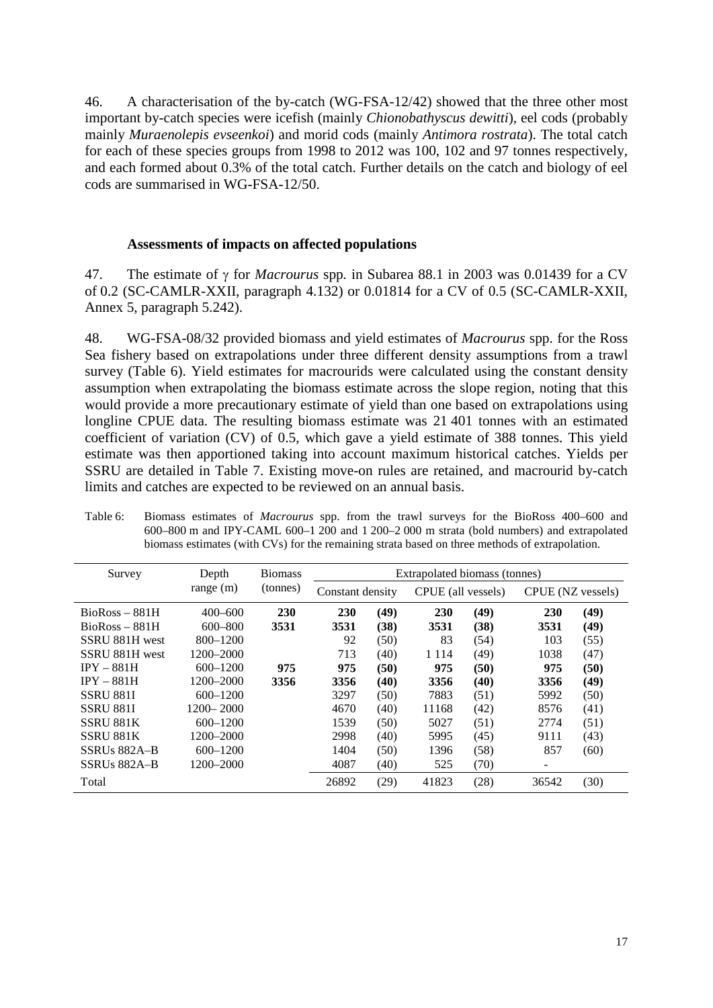46. A characterisation of the by-catch (WG-FSA-12/42) showed that the three other most important by-catch species were icefish (mainly *Chionobathyscus dewitti*), eel cods (probably mainly *Muraenolepis evseenkoi*) and morid cods (mainly *Antimora rostrata*). The total catch for each of these species groups from 1998 to 2012 was 100, 102 and 97 tonnes respectively, and each formed about 0.3% of the total catch. Further details on the catch and biology of eel cods are summarised in WG-FSA-12/50.

### **Assessments of impacts on affected populations**

47. The estimate of γ for *Macrourus* spp*.* in Subarea 88.1 in 2003 was 0.01439 for a CV of 0.2 (SC-CAMLR-XXII, paragraph 4.132) or 0.01814 for a CV of 0.5 (SC-CAMLR-XXII, Annex 5, paragraph 5.242).

48. WG-FSA-08/32 provided biomass and yield estimates of *Macrourus* spp. for the Ross Sea fishery based on extrapolations under three different density assumptions from a trawl survey (Table 6). Yield estimates for macrourids were calculated using the constant density assumption when extrapolating the biomass estimate across the slope region, noting that this would provide a more precautionary estimate of yield than one based on extrapolations using longline CPUE data. The resulting biomass estimate was 21 401 tonnes with an estimated coefficient of variation (CV) of 0.5, which gave a yield estimate of 388 tonnes. This yield estimate was then apportioned taking into account maximum historical catches. Yields per SSRU are detailed in Table 7. Existing move-on rules are retained, and macrourid by-catch limits and catches are expected to be reviewed on an annual basis.

| Table 6: | Biomass estimates of <i>Macrourus</i> spp. from the trawl surveys for the BioRoss 400–600 and  |
|----------|------------------------------------------------------------------------------------------------|
|          | $600-800$ m and IPY-CAML $600-1200$ and $1200-2000$ m strata (bold numbers) and extrapolated   |
|          | biomass estimates (with CVs) for the remaining strata based on three methods of extrapolation. |

| Survey           | Depth         | <b>Biomass</b> |                  |      | Extrapolated biomass (tonnes) |      |                   |      |
|------------------|---------------|----------------|------------------|------|-------------------------------|------|-------------------|------|
|                  | range $(m)$   | (tonnes)       | Constant density |      | CPUE (all vessels)            |      | CPUE (NZ vessels) |      |
| $BioRoss - 881H$ | $400 - 600$   | 230            | 230              | (49) | 230                           | (49) | 230               | (49) |
| $BioRoss - 881H$ | $600 - 800$   | 3531           | 3531             | (38) | 3531                          | (38) | 3531              | (49) |
| SSRU 881H west   | 800-1200      |                | 92               | (50) | 83                            | (54) | 103               | (55) |
| SSRU 881H west   | 1200–2000     |                | 713              | (40) | 1 1 1 4                       | (49) | 1038              | (47) |
| $IPY - 881H$     | $600 - 1200$  | 975            | 975              | (50) | 975                           | (50) | 975               | (50) |
| $IPY - 881H$     | 1200–2000     | 3356           | 3356             | (40) | 3356                          | (40) | 3356              | (49) |
| <b>SSRU 881I</b> | $600 - 1200$  |                | 3297             | (50) | 7883                          | (51) | 5992              | (50) |
| <b>SSRU 881I</b> | $1200 - 2000$ |                | 4670             | (40) | 11168                         | (42) | 8576              | (41) |
| SSRU 881K        | $600 - 1200$  |                | 1539             | (50) | 5027                          | (51) | 2774              | (51) |
| SSRU 881K        | 1200–2000     |                | 2998             | (40) | 5995                          | (45) | 9111              | (43) |
| SSRUs 882A-B     | $600 - 1200$  |                | 1404             | (50) | 1396                          | (58) | 857               | (60) |
| SSRUs 882A-B     | 1200–2000     |                | 4087             | (40) | 525                           | (70) | -                 |      |
| Total            |               |                | 26892            | (29) | 41823                         | (28) | 36542             | (30) |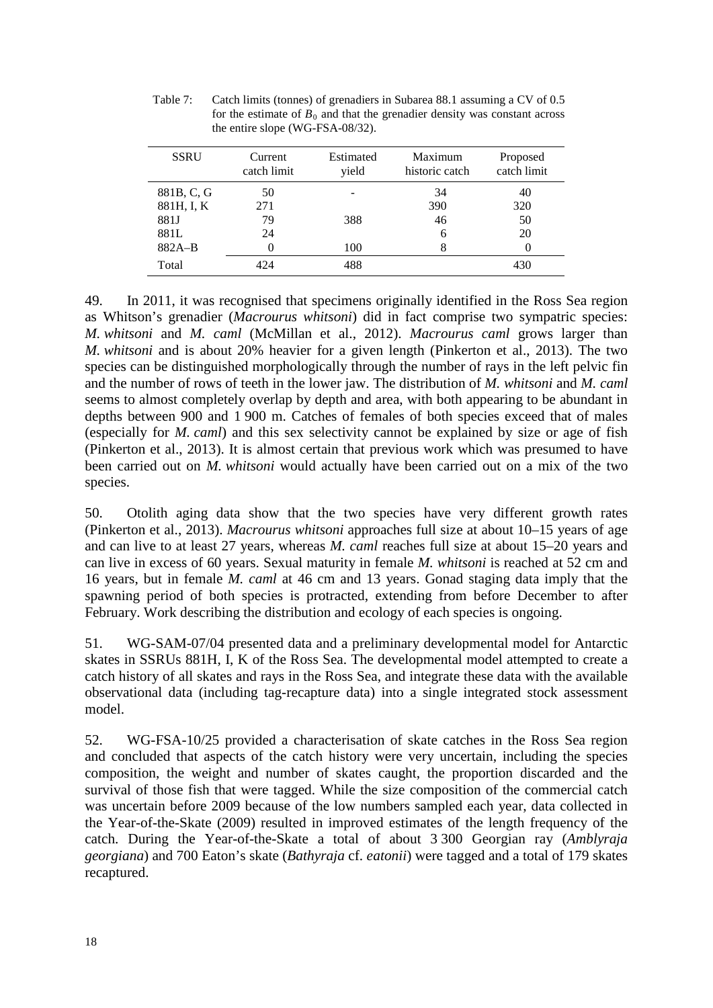| <b>SSRU</b> | Current<br>catch limit | Estimated<br>yield | Maximum<br>historic catch | Proposed<br>catch limit |
|-------------|------------------------|--------------------|---------------------------|-------------------------|
| 881B, C, G  | 50                     |                    | 34                        | 40                      |
| 881H, I, K  | 271                    |                    | 390                       | 320                     |
| 881J        | 79                     | 388                | 46                        | 50                      |
| 881L        | 24                     |                    | 6                         | 20                      |
| $882A-B$    | 0                      | 100                | 8                         |                         |
| Total       | 424                    | 488                |                           | 430                     |

Table 7: Catch limits (tonnes) of grenadiers in Subarea 88.1 assuming a CV of 0.5 for the estimate of  $B_0$  and that the grenadier density was constant across the entire slope (WG-FSA-08/32).

49. In 2011, it was recognised that specimens originally identified in the Ross Sea region as Whitson's grenadier (*Macrourus whitsoni*) did in fact comprise two sympatric species: *M. whitsoni* and *M. caml* (McMillan et al., 2012). *Macrourus caml* grows larger than *M. whitsoni* and is about 20% heavier for a given length (Pinkerton et al., 2013). The two species can be distinguished morphologically through the number of rays in the left pelvic fin and the number of rows of teeth in the lower jaw. The distribution of *M. whitsoni* and *M. caml* seems to almost completely overlap by depth and area, with both appearing to be abundant in depths between 900 and 1 900 m. Catches of females of both species exceed that of males (especially for *M. caml*) and this sex selectivity cannot be explained by size or age of fish (Pinkerton et al., 2013). It is almost certain that previous work which was presumed to have been carried out on *M. whitsoni* would actually have been carried out on a mix of the two species.

50. Otolith aging data show that the two species have very different growth rates (Pinkerton et al., 2013). *Macrourus whitsoni* approaches full size at about 10–15 years of age and can live to at least 27 years, whereas *M. caml* reaches full size at about 15–20 years and can live in excess of 60 years. Sexual maturity in female *M. whitsoni* is reached at 52 cm and 16 years, but in female *M. caml* at 46 cm and 13 years. Gonad staging data imply that the spawning period of both species is protracted, extending from before December to after February. Work describing the distribution and ecology of each species is ongoing.

51. WG-SAM-07/04 presented data and a preliminary developmental model for Antarctic skates in SSRUs 881H, I, K of the Ross Sea. The developmental model attempted to create a catch history of all skates and rays in the Ross Sea, and integrate these data with the available observational data (including tag-recapture data) into a single integrated stock assessment model.

52. WG-FSA-10/25 provided a characterisation of skate catches in the Ross Sea region and concluded that aspects of the catch history were very uncertain, including the species composition, the weight and number of skates caught, the proportion discarded and the survival of those fish that were tagged. While the size composition of the commercial catch was uncertain before 2009 because of the low numbers sampled each year, data collected in the Year-of-the-Skate (2009) resulted in improved estimates of the length frequency of the catch. During the Year-of-the-Skate a total of about 3 300 Georgian ray (*Amblyraja georgiana*) and 700 Eaton's skate (*Bathyraja* cf. *eatonii*) were tagged and a total of 179 skates recaptured.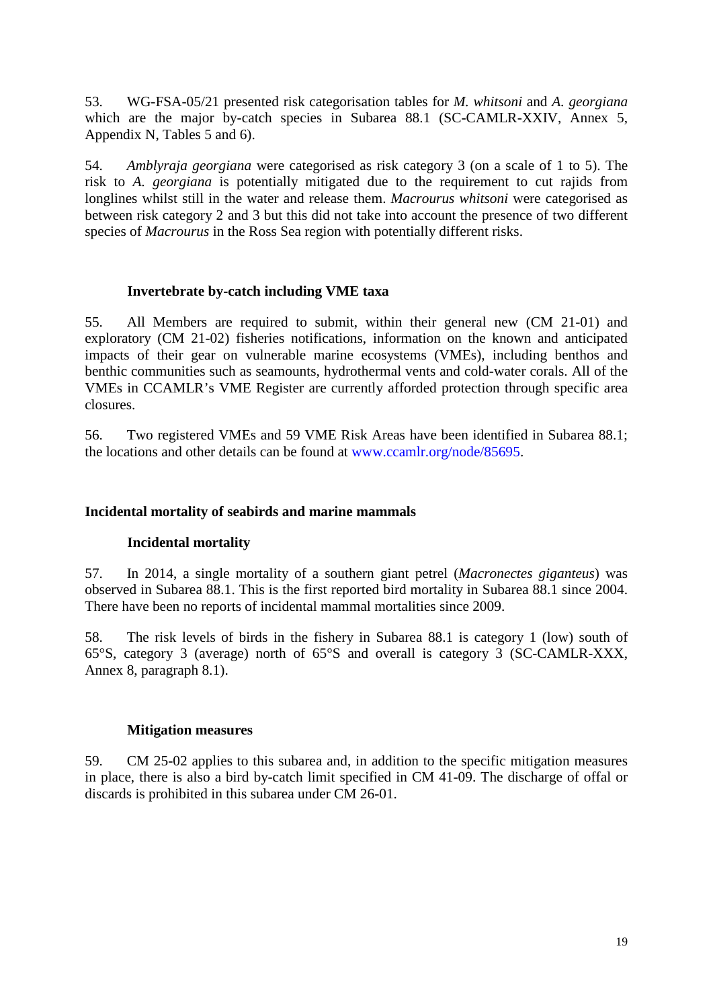53. WG-FSA-05/21 presented risk categorisation tables for *M. whitsoni* and *A. georgiana* which are the major by-catch species in Subarea 88.1 (SC-CAMLR-XXIV, Annex 5, Appendix N, Tables 5 and 6).

54. *Amblyraja georgiana* were categorised as risk category 3 (on a scale of 1 to 5). The risk to *A. georgiana* is potentially mitigated due to the requirement to cut rajids from longlines whilst still in the water and release them. *Macrourus whitsoni* were categorised as between risk category 2 and 3 but this did not take into account the presence of two different species of *Macrourus* in the Ross Sea region with potentially different risks.

# **Invertebrate by-catch including VME taxa**

55. All Members are required to submit, within their general new (CM 21-01) and exploratory (CM 21-02) fisheries notifications, information on the known and anticipated impacts of their gear on vulnerable marine ecosystems (VMEs), including benthos and benthic communities such as seamounts, hydrothermal vents and cold-water corals. All of the VMEs in CCAMLR's VME Register are currently afforded protection through specific area closures.

56. Two registered VMEs and 59 VME Risk Areas have been identified in Subarea 88.1; the locations and other details can be found at [www.ccamlr.org/node/85695.](http://www.ccamlr.org/node/85695)

### **Incidental mortality of seabirds and marine mammals**

### **Incidental mortality**

57. In 2014, a single mortality of a southern giant petrel (*Macronectes giganteus*) was observed in Subarea 88.1. This is the first reported bird mortality in Subarea 88.1 since 2004. There have been no reports of incidental mammal mortalities since 2009.

58. The risk levels of birds in the fishery in Subarea 88.1 is category 1 (low) south of 65°S, category 3 (average) north of 65°S and overall is category 3 (SC-CAMLR-XXX, Annex 8, paragraph 8.1).

### **Mitigation measures**

59. CM 25-02 applies to this subarea and, in addition to the specific mitigation measures in place, there is also a bird by-catch limit specified in CM 41-09. The discharge of offal or discards is prohibited in this subarea under CM 26-01.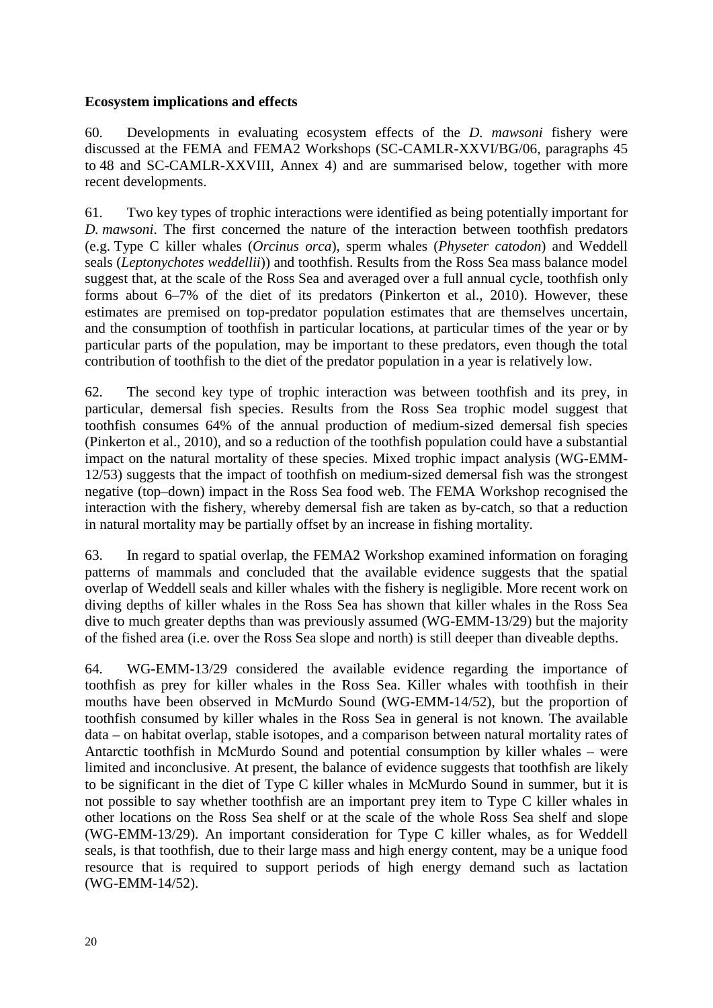### **Ecosystem implications and effects**

60. Developments in evaluating ecosystem effects of the *D. mawsoni* fishery were discussed at the FEMA and FEMA2 Workshops (SC-CAMLR-XXVI/BG/06, paragraphs 45 to 48 and SC-CAMLR-XXVIII, Annex 4) and are summarised below, together with more recent developments.

61. Two key types of trophic interactions were identified as being potentially important for *D. mawsoni*. The first concerned the nature of the interaction between toothfish predators (e.g. Type C killer whales (*Orcinus orca*), sperm whales (*Physeter catodon*) and Weddell seals (*Leptonychotes weddellii*)) and toothfish. Results from the Ross Sea mass balance model suggest that, at the scale of the Ross Sea and averaged over a full annual cycle, toothfish only forms about 6–7% of the diet of its predators (Pinkerton et al., 2010). However, these estimates are premised on top-predator population estimates that are themselves uncertain, and the consumption of toothfish in particular locations, at particular times of the year or by particular parts of the population, may be important to these predators, even though the total contribution of toothfish to the diet of the predator population in a year is relatively low.

62. The second key type of trophic interaction was between toothfish and its prey, in particular, demersal fish species. Results from the Ross Sea trophic model suggest that toothfish consumes 64% of the annual production of medium-sized demersal fish species (Pinkerton et al., 2010), and so a reduction of the toothfish population could have a substantial impact on the natural mortality of these species. Mixed trophic impact analysis (WG-EMM-12/53) suggests that the impact of toothfish on medium-sized demersal fish was the strongest negative (top–down) impact in the Ross Sea food web. The FEMA Workshop recognised the interaction with the fishery, whereby demersal fish are taken as by-catch, so that a reduction in natural mortality may be partially offset by an increase in fishing mortality.

63. In regard to spatial overlap, the FEMA2 Workshop examined information on foraging patterns of mammals and concluded that the available evidence suggests that the spatial overlap of Weddell seals and killer whales with the fishery is negligible. More recent work on diving depths of killer whales in the Ross Sea has shown that killer whales in the Ross Sea dive to much greater depths than was previously assumed (WG-EMM-13/29) but the majority of the fished area (i.e. over the Ross Sea slope and north) is still deeper than diveable depths.

64. WG-EMM-13/29 considered the available evidence regarding the importance of toothfish as prey for killer whales in the Ross Sea. Killer whales with toothfish in their mouths have been observed in McMurdo Sound (WG-EMM-14/52), but the proportion of toothfish consumed by killer whales in the Ross Sea in general is not known. The available data – on habitat overlap, stable isotopes, and a comparison between natural mortality rates of Antarctic toothfish in McMurdo Sound and potential consumption by killer whales – were limited and inconclusive. At present, the balance of evidence suggests that toothfish are likely to be significant in the diet of Type C killer whales in McMurdo Sound in summer, but it is not possible to say whether toothfish are an important prey item to Type C killer whales in other locations on the Ross Sea shelf or at the scale of the whole Ross Sea shelf and slope (WG-EMM-13/29). An important consideration for Type C killer whales, as for Weddell seals, is that toothfish, due to their large mass and high energy content, may be a unique food resource that is required to support periods of high energy demand such as lactation (WG-EMM-14/52).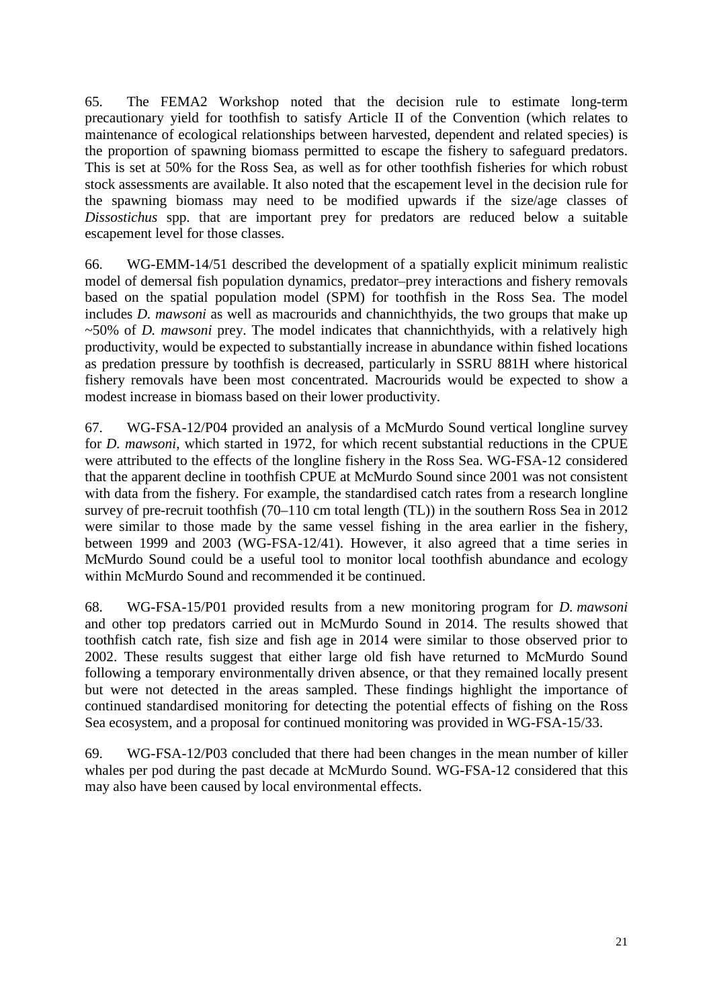65. The FEMA2 Workshop noted that the decision rule to estimate long-term precautionary yield for toothfish to satisfy Article II of the Convention (which relates to maintenance of ecological relationships between harvested, dependent and related species) is the proportion of spawning biomass permitted to escape the fishery to safeguard predators. This is set at 50% for the Ross Sea, as well as for other toothfish fisheries for which robust stock assessments are available. It also noted that the escapement level in the decision rule for the spawning biomass may need to be modified upwards if the size/age classes of *Dissostichus* spp. that are important prey for predators are reduced below a suitable escapement level for those classes.

66. WG-EMM-14/51 described the development of a spatially explicit minimum realistic model of demersal fish population dynamics, predator–prey interactions and fishery removals based on the spatial population model (SPM) for toothfish in the Ross Sea. The model includes *D. mawsoni* as well as macrourids and channichthyids, the two groups that make up ~50% of *D. mawsoni* prey. The model indicates that channichthyids, with a relatively high productivity, would be expected to substantially increase in abundance within fished locations as predation pressure by toothfish is decreased, particularly in SSRU 881H where historical fishery removals have been most concentrated. Macrourids would be expected to show a modest increase in biomass based on their lower productivity.

67. WG-FSA-12/P04 provided an analysis of a McMurdo Sound vertical longline survey for *D. mawsoni*, which started in 1972, for which recent substantial reductions in the CPUE were attributed to the effects of the longline fishery in the Ross Sea. WG-FSA-12 considered that the apparent decline in toothfish CPUE at McMurdo Sound since 2001 was not consistent with data from the fishery. For example, the standardised catch rates from a research longline survey of pre-recruit toothfish (70–110 cm total length (TL)) in the southern Ross Sea in 2012 were similar to those made by the same vessel fishing in the area earlier in the fishery, between 1999 and 2003 (WG-FSA-12/41). However, it also agreed that a time series in McMurdo Sound could be a useful tool to monitor local toothfish abundance and ecology within McMurdo Sound and recommended it be continued.

68. WG-FSA-15/P01 provided results from a new monitoring program for *D. mawsoni* and other top predators carried out in McMurdo Sound in 2014. The results showed that toothfish catch rate, fish size and fish age in 2014 were similar to those observed prior to 2002. These results suggest that either large old fish have returned to McMurdo Sound following a temporary environmentally driven absence, or that they remained locally present but were not detected in the areas sampled. These findings highlight the importance of continued standardised monitoring for detecting the potential effects of fishing on the Ross Sea ecosystem, and a proposal for continued monitoring was provided in WG-FSA-15/33.

69. WG-FSA-12/P03 concluded that there had been changes in the mean number of killer whales per pod during the past decade at McMurdo Sound. WG-FSA-12 considered that this may also have been caused by local environmental effects.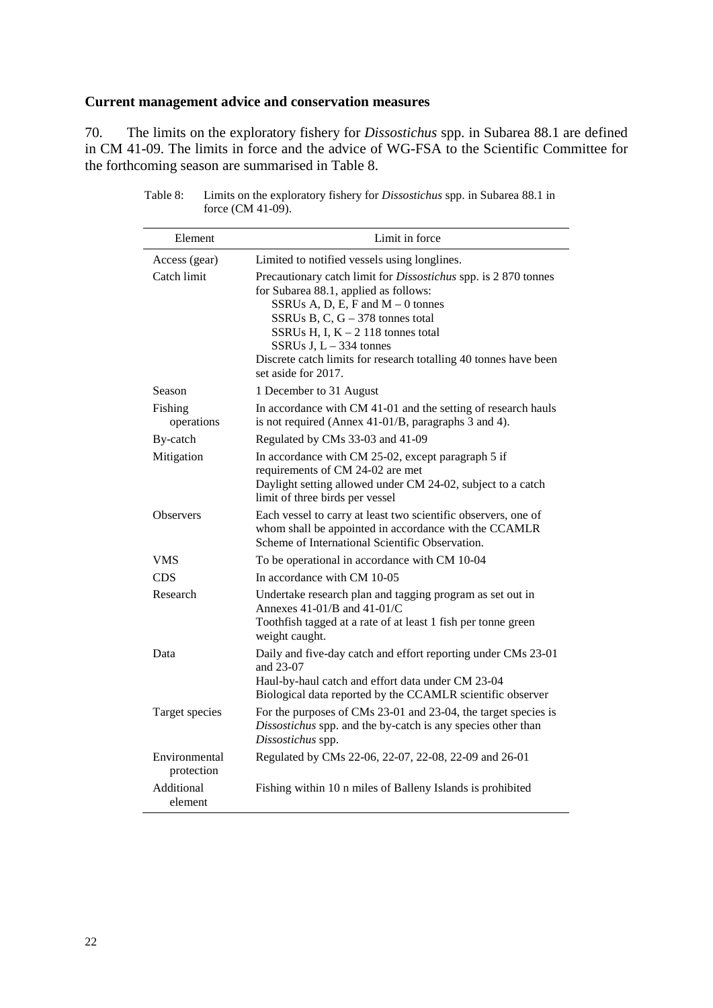# **Current management advice and conservation measures**

70. The limits on the exploratory fishery for *Dissostichus* spp. in Subarea 88.1 are defined in CM 41-09. The limits in force and the advice of WG-FSA to the Scientific Committee for the forthcoming season are summarised in Table 8.

| Element                     | Limit in force                                                                                                                                                                                                                                                                                                                                               |
|-----------------------------|--------------------------------------------------------------------------------------------------------------------------------------------------------------------------------------------------------------------------------------------------------------------------------------------------------------------------------------------------------------|
| Access (gear)               | Limited to notified vessels using longlines.                                                                                                                                                                                                                                                                                                                 |
| Catch limit                 | Precautionary catch limit for <i>Dissostichus</i> spp. is 2 870 tonnes<br>for Subarea 88.1, applied as follows:<br>SSRUs A, D, E, F and $M - 0$ tonnes<br>SSRUs B, C, $G - 378$ tonnes total<br>SSRUs H, I, $K - 2$ 118 tonnes total<br>SSRUs J, $L - 334$ tonnes<br>Discrete catch limits for research totalling 40 tonnes have been<br>set aside for 2017. |
| Season                      | 1 December to 31 August                                                                                                                                                                                                                                                                                                                                      |
| Fishing<br>operations       | In accordance with CM 41-01 and the setting of research hauls<br>is not required (Annex 41-01/B, paragraphs 3 and 4).                                                                                                                                                                                                                                        |
| By-catch                    | Regulated by CMs 33-03 and 41-09                                                                                                                                                                                                                                                                                                                             |
| Mitigation                  | In accordance with CM 25-02, except paragraph 5 if<br>requirements of CM 24-02 are met<br>Daylight setting allowed under CM 24-02, subject to a catch<br>limit of three birds per vessel                                                                                                                                                                     |
| <b>Observers</b>            | Each vessel to carry at least two scientific observers, one of<br>whom shall be appointed in accordance with the CCAMLR<br>Scheme of International Scientific Observation.                                                                                                                                                                                   |
| VMS                         | To be operational in accordance with CM 10-04                                                                                                                                                                                                                                                                                                                |
| <b>CDS</b>                  | In accordance with CM 10-05                                                                                                                                                                                                                                                                                                                                  |
| Research                    | Undertake research plan and tagging program as set out in<br>Annexes $41-01/B$ and $41-01/C$<br>Toothfish tagged at a rate of at least 1 fish per tonne green<br>weight caught.                                                                                                                                                                              |
| Data                        | Daily and five-day catch and effort reporting under CMs 23-01<br>and 23-07                                                                                                                                                                                                                                                                                   |
|                             | Haul-by-haul catch and effort data under CM 23-04<br>Biological data reported by the CCAMLR scientific observer                                                                                                                                                                                                                                              |
| Target species              | For the purposes of CMs 23-01 and 23-04, the target species is<br>Dissostichus spp. and the by-catch is any species other than<br>Dissostichus spp.                                                                                                                                                                                                          |
| Environmental<br>protection | Regulated by CMs 22-06, 22-07, 22-08, 22-09 and 26-01                                                                                                                                                                                                                                                                                                        |
| Additional<br>element       | Fishing within 10 n miles of Balleny Islands is prohibited                                                                                                                                                                                                                                                                                                   |

Table 8: Limits on the exploratory fishery for *Dissostichus* spp. in Subarea 88.1 in force (CM 41-09).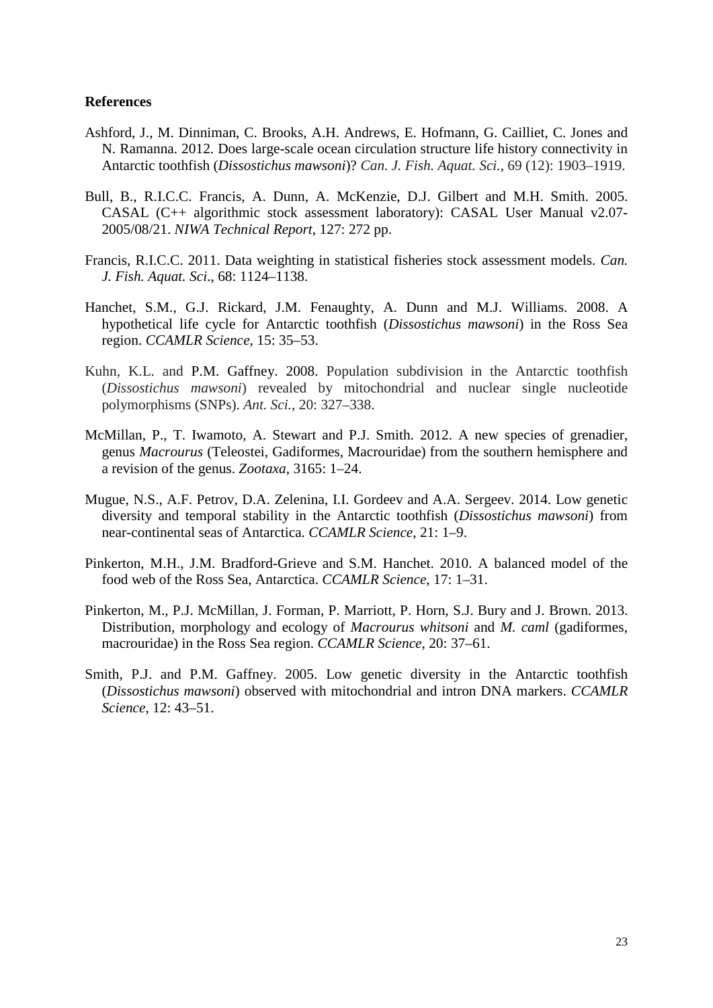#### **References**

- Ashford, J., M. Dinniman, C. Brooks, A.H. Andrews, E. Hofmann, G. Cailliet, C. Jones and N. Ramanna. 2012. Does large-scale ocean circulation structure life history connectivity in Antarctic toothfish (*Dissostichus mawsoni*)? *Can. J. Fish. Aquat. Sci.*, 69 (12): 1903–1919.
- Bull, B., R.I.C.C. Francis, A. Dunn, A. McKenzie, D.J. Gilbert and M.H. Smith. 2005. CASAL (C++ algorithmic stock assessment laboratory): CASAL User Manual v2.07- 2005/08/21. *NIWA Technical Report*, 127: 272 pp.
- Francis, R.I.C.C. 2011. Data weighting in statistical fisheries stock assessment models. *Can. J. Fish. Aquat. Sci*., 68: 1124–1138.
- Hanchet, S.M., G.J. Rickard, J.M. Fenaughty, A. Dunn and M.J. Williams. 2008. A hypothetical life cycle for Antarctic toothfish (*Dissostichus mawsoni*) in the Ross Sea region. *CCAMLR Science*, 15: 35–53.
- Kuhn, K.L. and P.M. Gaffney. 2008. Population subdivision in the Antarctic toothfish (*Dissostichus mawsoni*) revealed by mitochondrial and nuclear single nucleotide polymorphisms (SNPs). *Ant. Sci.*, 20: 327–338.
- McMillan, P., T. Iwamoto, A. Stewart and P.J. Smith. 2012. A new species of grenadier, genus *Macrourus* (Teleostei, Gadiformes, Macrouridae) from the southern hemisphere and a revision of the genus. *Zootaxa*, 3165: 1–24.
- Mugue, N.S., A.F. Petrov, D.A. Zelenina, I.I. Gordeev and A.A. Sergeev. 2014. Low genetic diversity and temporal stability in the Antarctic toothfish (*Dissostichus mawsoni*) from near-continental seas of Antarctica. *CCAMLR Science*, 21: 1–9.
- Pinkerton, M.H., J.M. Bradford-Grieve and S.M. Hanchet. 2010. A balanced model of the food web of the Ross Sea, Antarctica. *CCAMLR Science*, 17: 1–31.
- Pinkerton, M., P.J. McMillan, J. Forman, P. Marriott, P. Horn, S.J. Bury and J. Brown. 2013. Distribution, morphology and ecology of *Macrourus whitsoni* and *M. caml* (gadiformes, macrouridae) in the Ross Sea region. *CCAMLR Science*, 20: 37–61.
- Smith, P.J. and P.M. Gaffney. 2005. Low genetic diversity in the Antarctic toothfish (*Dissostichus mawsoni*) observed with mitochondrial and intron DNA markers. *CCAMLR Science*, 12: 43–51.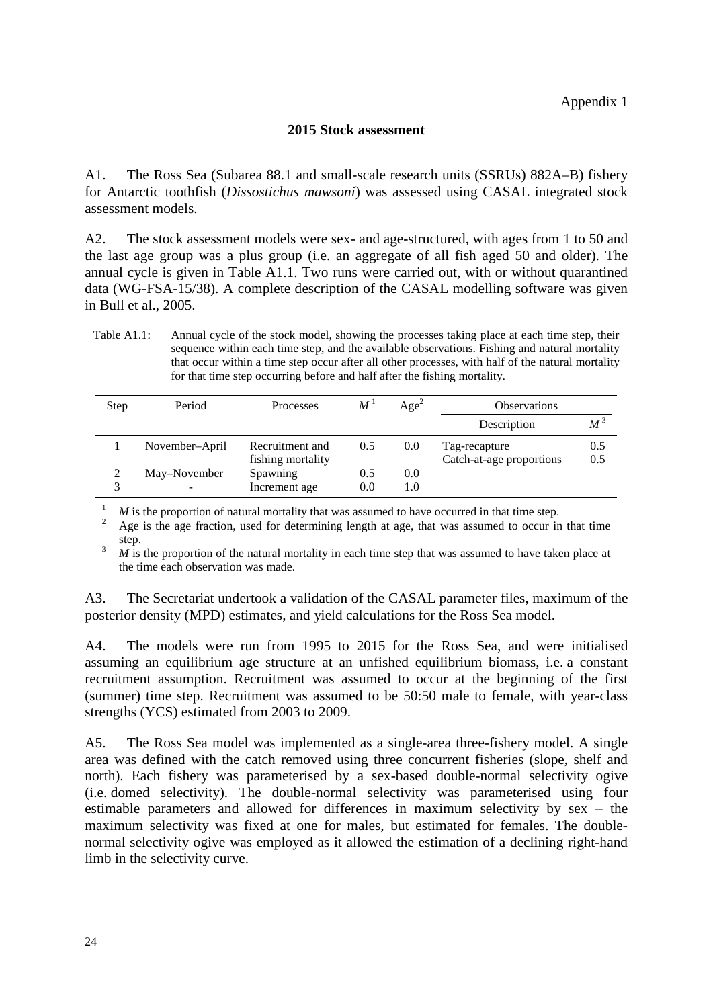### **2015 Stock assessment**

A1. The Ross Sea (Subarea 88.1 and small-scale research units (SSRUs) 882A–B) fishery for Antarctic toothfish (*Dissostichus mawsoni*) was assessed using CASAL integrated stock assessment models.

A2. The stock assessment models were sex- and age-structured, with ages from 1 to 50 and the last age group was a plus group (i.e. an aggregate of all fish aged 50 and older). The annual cycle is given in Table A1.1. Two runs were carried out, with or without quarantined data (WG-FSA-15/38). A complete description of the CASAL modelling software was given in Bull et al., 2005.

Table A1.1: Annual cycle of the stock model, showing the processes taking place at each time step, their sequence within each time step, and the available observations. Fishing and natural mortality that occur within a time step occur after all other processes, with half of the natural mortality for that time step occurring before and half after the fishing mortality.

| Step | Period         | Processes                            | $M^{\perp}$ | Age <sup>2</sup> | <b>Observations</b>                       |            |
|------|----------------|--------------------------------------|-------------|------------------|-------------------------------------------|------------|
|      |                |                                      |             |                  | Description                               | $M^3$      |
|      | November-April | Recruitment and<br>fishing mortality | 0.5         | 0.0              | Tag-recapture<br>Catch-at-age proportions | 0.5<br>0.5 |
| 2    | May–November   | Spawning<br>Increment age            | 0.5<br>0.0  | 0.0<br>1.0       |                                           |            |

<sup>1</sup> *M* is the proportion of natural mortality that was assumed to have occurred in that time step.<br><sup>2</sup> Age is the age fraction, used for determining length at age, that was assumed to occur in that time step.<br><sup>3</sup> *M* is the proportion of the natural mortality in each time step that was assumed to have taken place at

the time each observation was made.

A3. The Secretariat undertook a validation of the CASAL parameter files, maximum of the posterior density (MPD) estimates, and yield calculations for the Ross Sea model.

A4. The models were run from 1995 to 2015 for the Ross Sea, and were initialised assuming an equilibrium age structure at an unfished equilibrium biomass, i.e. a constant recruitment assumption. Recruitment was assumed to occur at the beginning of the first (summer) time step. Recruitment was assumed to be 50:50 male to female, with year-class strengths (YCS) estimated from 2003 to 2009.

A5. The Ross Sea model was implemented as a single-area three-fishery model. A single area was defined with the catch removed using three concurrent fisheries (slope, shelf and north). Each fishery was parameterised by a sex-based double-normal selectivity ogive (i.e. domed selectivity). The double-normal selectivity was parameterised using four estimable parameters and allowed for differences in maximum selectivity by sex – the maximum selectivity was fixed at one for males, but estimated for females. The doublenormal selectivity ogive was employed as it allowed the estimation of a declining right-hand limb in the selectivity curve.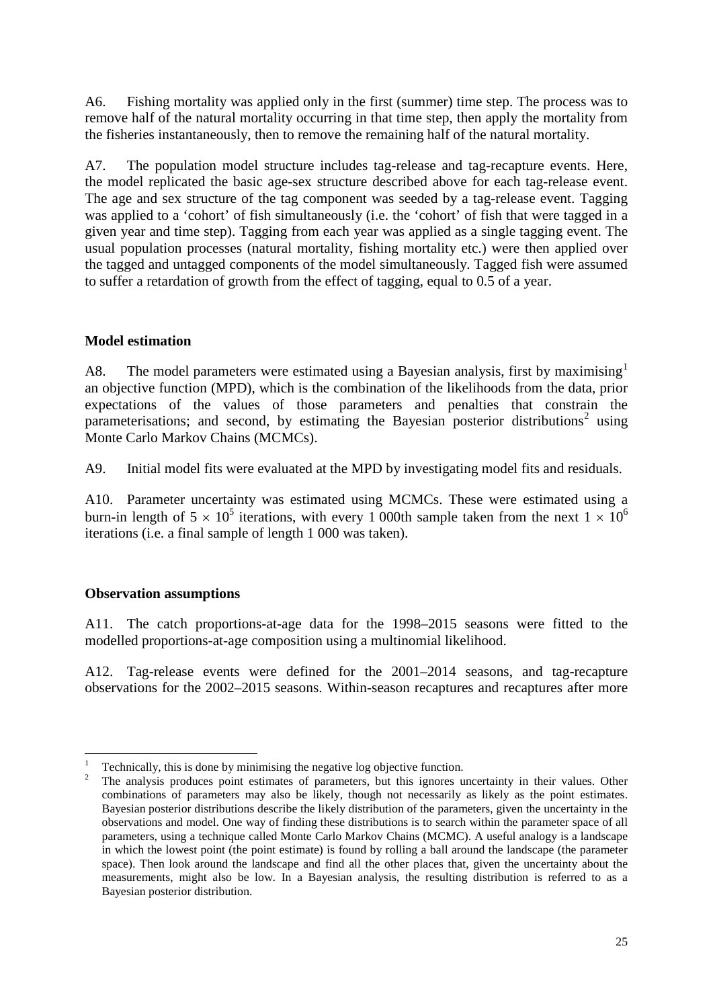A6. Fishing mortality was applied only in the first (summer) time step. The process was to remove half of the natural mortality occurring in that time step, then apply the mortality from the fisheries instantaneously, then to remove the remaining half of the natural mortality.

A7. The population model structure includes tag-release and tag-recapture events. Here, the model replicated the basic age-sex structure described above for each tag-release event. The age and sex structure of the tag component was seeded by a tag-release event. Tagging was applied to a 'cohort' of fish simultaneously (i.e. the 'cohort' of fish that were tagged in a given year and time step). Tagging from each year was applied as a single tagging event. The usual population processes (natural mortality, fishing mortality etc.) were then applied over the tagged and untagged components of the model simultaneously. Tagged fish were assumed to suffer a retardation of growth from the effect of tagging, equal to 0.5 of a year.

# **Model estimation**

A8. The model parameters were estimated using a Bayesian analysis, first by maximising<sup>[1](#page-26-0)</sup> an objective function (MPD), which is the combination of the likelihoods from the data, prior expectations of the values of those parameters and penalties that constrain the parameterisations; and second, by estimating the Bayesian posterior distributions<sup>[2](#page-26-1)</sup> using Monte Carlo Markov Chains (MCMCs).

A9. Initial model fits were evaluated at the MPD by investigating model fits and residuals.

A10. Parameter uncertainty was estimated using MCMCs. These were estimated using a burn-in length of  $5 \times 10^5$  iterations, with every 1 000th sample taken from the next  $1 \times 10^6$ iterations (i.e. a final sample of length 1 000 was taken).

# **Observation assumptions**

A11. The catch proportions-at-age data for the 1998–2015 seasons were fitted to the modelled proportions-at-age composition using a multinomial likelihood.

A12. Tag-release events were defined for the 2001–2014 seasons, and tag-recapture observations for the 2002–2015 seasons. Within-season recaptures and recaptures after more

<span id="page-26-1"></span><span id="page-26-0"></span>

Technically, this is done by minimising the negative log objective function.<br>The analysis produces point estimates of parameters, but this ignores uncertainty in their values. Other combinations of parameters may also be likely, though not necessarily as likely as the point estimates. Bayesian posterior distributions describe the likely distribution of the parameters, given the uncertainty in the observations and model. One way of finding these distributions is to search within the parameter space of all parameters, using a technique called Monte Carlo Markov Chains (MCMC). A useful analogy is a landscape in which the lowest point (the point estimate) is found by rolling a ball around the landscape (the parameter space). Then look around the landscape and find all the other places that, given the uncertainty about the measurements, might also be low. In a Bayesian analysis, the resulting distribution is referred to as a Bayesian posterior distribution.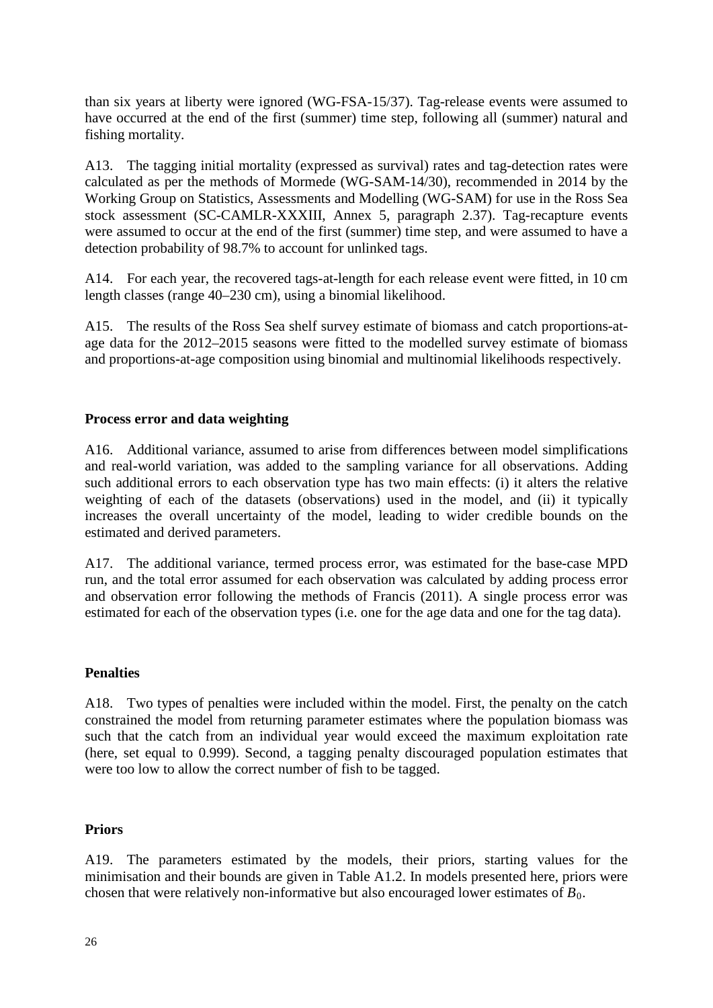than six years at liberty were ignored (WG-FSA-15/37). Tag-release events were assumed to have occurred at the end of the first (summer) time step, following all (summer) natural and fishing mortality.

A13. The tagging initial mortality (expressed as survival) rates and tag-detection rates were calculated as per the methods of Mormede (WG-SAM-14/30), recommended in 2014 by the Working Group on Statistics, Assessments and Modelling (WG-SAM) for use in the Ross Sea stock assessment (SC-CAMLR-XXXIII, Annex 5, paragraph 2.37). Tag-recapture events were assumed to occur at the end of the first (summer) time step, and were assumed to have a detection probability of 98.7% to account for unlinked tags.

A14. For each year, the recovered tags-at-length for each release event were fitted, in 10 cm length classes (range 40–230 cm), using a binomial likelihood.

A15. The results of the Ross Sea shelf survey estimate of biomass and catch proportions-atage data for the 2012–2015 seasons were fitted to the modelled survey estimate of biomass and proportions-at-age composition using binomial and multinomial likelihoods respectively.

# **Process error and data weighting**

A16. Additional variance, assumed to arise from differences between model simplifications and real-world variation, was added to the sampling variance for all observations. Adding such additional errors to each observation type has two main effects: (i) it alters the relative weighting of each of the datasets (observations) used in the model, and (ii) it typically increases the overall uncertainty of the model, leading to wider credible bounds on the estimated and derived parameters.

A17. The additional variance, termed process error, was estimated for the base-case MPD run, and the total error assumed for each observation was calculated by adding process error and observation error following the methods of Francis (2011). A single process error was estimated for each of the observation types (i.e. one for the age data and one for the tag data).

### **Penalties**

A18. Two types of penalties were included within the model. First, the penalty on the catch constrained the model from returning parameter estimates where the population biomass was such that the catch from an individual year would exceed the maximum exploitation rate (here, set equal to 0.999). Second, a tagging penalty discouraged population estimates that were too low to allow the correct number of fish to be tagged.

### **Priors**

A19. The parameters estimated by the models, their priors, starting values for the minimisation and their bounds are given in Table A1.2. In models presented here, priors were chosen that were relatively non-informative but also encouraged lower estimates of  $B_0$ .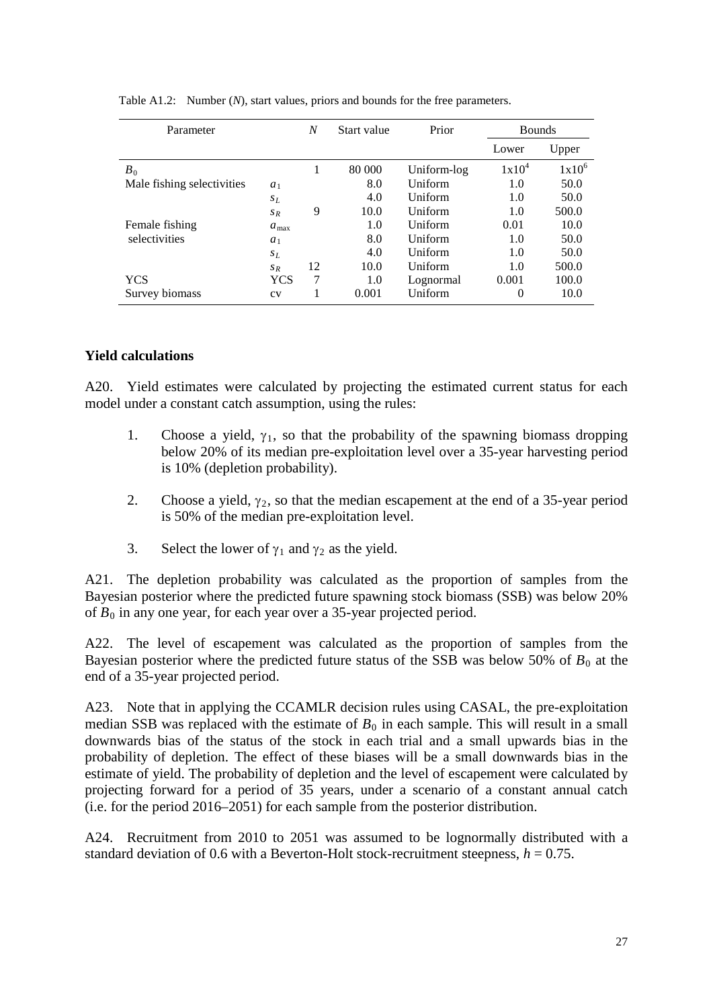| Parameter                  |                  | N  | Start value | Prior       | <b>Bounds</b> |          |
|----------------------------|------------------|----|-------------|-------------|---------------|----------|
|                            |                  |    |             |             | Lower         | Upper    |
| $B_0$                      |                  |    | 80 000      | Uniform-log | $1x10^4$      | $1x10^6$ |
| Male fishing selectivities | $a_1$            |    | 8.0         | Uniform     | 1.0           | 50.0     |
|                            | $S_L$            |    | 4.0         | Uniform     | 1.0           | 50.0     |
|                            | $S_R$            | 9  | 10.0        | Uniform     | 1.0           | 500.0    |
| Female fishing             | $a_{\text{max}}$ |    | 1.0         | Uniform     | 0.01          | 10.0     |
| selectivities              | $a_1$            |    | 8.0         | Uniform     | 1.0           | 50.0     |
|                            | $s_L$            |    | 4.0         | Uniform     | 1.0           | 50.0     |
|                            | $S_R$            | 12 | 10.0        | Uniform     | 1.0           | 500.0    |
| YCS                        | YCS              | 7  | 1.0         | Lognormal   | 0.001         | 100.0    |
| Survey biomass             | CV               |    | 0.001       | Uniform     | 0             | 10.0     |

Table A1.2: Number (*N*), start values, priors and bounds for the free parameters.

### **Yield calculations**

A20. Yield estimates were calculated by projecting the estimated current status for each model under a constant catch assumption, using the rules:

- 1. Choose a yield,  $\gamma_1$ , so that the probability of the spawning biomass dropping below 20% of its median pre-exploitation level over a 35-year harvesting period is 10% (depletion probability).
- 2. Choose a yield,  $\gamma_2$ , so that the median escapement at the end of a 35-year period is 50% of the median pre-exploitation level.
- 3. Select the lower of  $\gamma_1$  and  $\gamma_2$  as the yield.

A21. The depletion probability was calculated as the proportion of samples from the Bayesian posterior where the predicted future spawning stock biomass (SSB) was below 20% of *B*<sup>0</sup> in any one year, for each year over a 35-year projected period.

A22. The level of escapement was calculated as the proportion of samples from the Bayesian posterior where the predicted future status of the SSB was below 50% of  $B_0$  at the end of a 35-year projected period.

A23. Note that in applying the CCAMLR decision rules using CASAL, the pre-exploitation median SSB was replaced with the estimate of  $B_0$  in each sample. This will result in a small downwards bias of the status of the stock in each trial and a small upwards bias in the probability of depletion. The effect of these biases will be a small downwards bias in the estimate of yield. The probability of depletion and the level of escapement were calculated by projecting forward for a period of 35 years, under a scenario of a constant annual catch (i.e. for the period 2016–2051) for each sample from the posterior distribution.

A24. Recruitment from 2010 to 2051 was assumed to be lognormally distributed with a standard deviation of 0.6 with a Beverton-Holt stock-recruitment steepness,  $h = 0.75$ .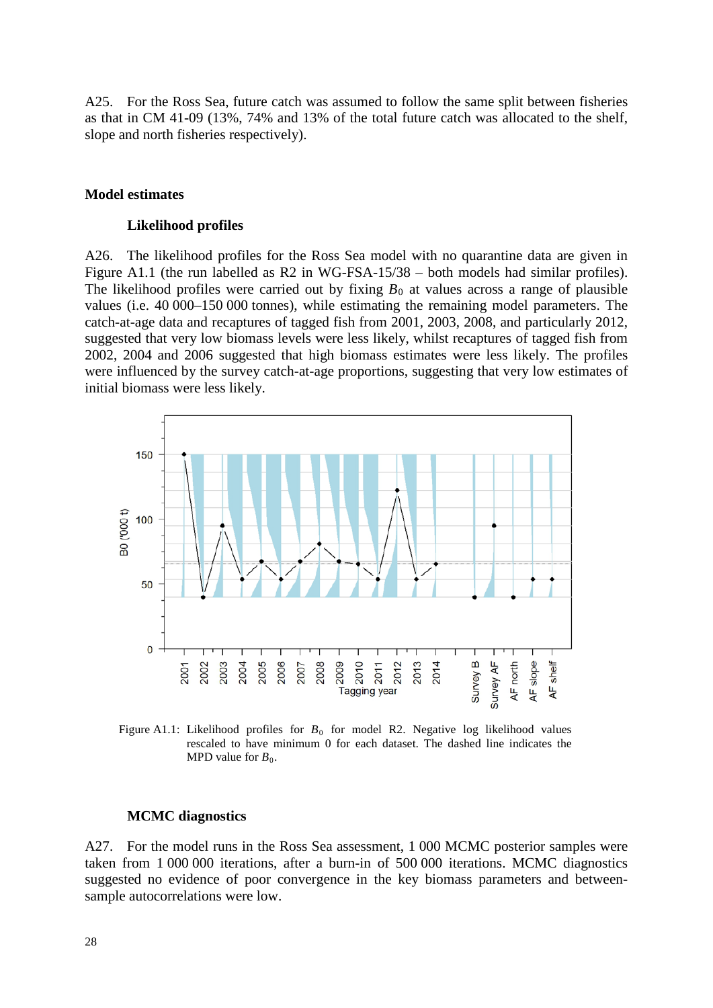A25. For the Ross Sea, future catch was assumed to follow the same split between fisheries as that in CM 41-09 (13%, 74% and 13% of the total future catch was allocated to the shelf, slope and north fisheries respectively).

### **Model estimates**

#### **Likelihood profiles**

A26. The likelihood profiles for the Ross Sea model with no quarantine data are given in Figure A1.1 (the run labelled as R2 in WG-FSA-15/38 – both models had similar profiles). The likelihood profiles were carried out by fixing  $B_0$  at values across a range of plausible values (i.e. 40 000–150 000 tonnes), while estimating the remaining model parameters. The catch-at-age data and recaptures of tagged fish from 2001, 2003, 2008, and particularly 2012, suggested that very low biomass levels were less likely, whilst recaptures of tagged fish from 2002, 2004 and 2006 suggested that high biomass estimates were less likely. The profiles were influenced by the survey catch-at-age proportions, suggesting that very low estimates of initial biomass were less likely.



Figure A1.1: Likelihood profiles for  $B_0$  for model R2. Negative log likelihood values rescaled to have minimum 0 for each dataset. The dashed line indicates the MPD value for  $B_0$ .

#### **MCMC diagnostics**

A27. For the model runs in the Ross Sea assessment, 1 000 MCMC posterior samples were taken from 1 000 000 iterations, after a burn-in of 500 000 iterations. MCMC diagnostics suggested no evidence of poor convergence in the key biomass parameters and betweensample autocorrelations were low.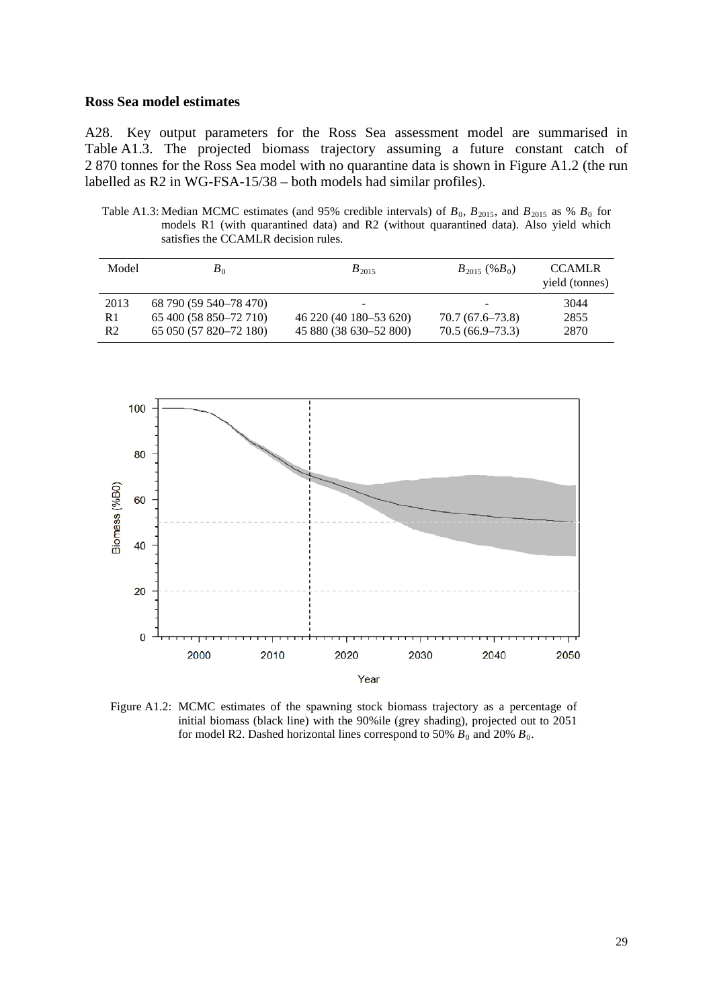### **Ross Sea model estimates**

A28. Key output parameters for the Ross Sea assessment model are summarised in Table A1.3. The projected biomass trajectory assuming a future constant catch of 2 870 tonnes for the Ross Sea model with no quarantine data is shown in Figure A1.2 (the run labelled as R2 in WG-FSA-15/38 – both models had similar profiles).

Table A1.3: Median MCMC estimates (and 95% credible intervals) of  $B_0$ ,  $B_{2015}$ , and  $B_{2015}$  as %  $B_0$  for models R1 (with quarantined data) and R2 (without quarantined data). Also yield which satisfies the CCAMLR decision rules.

| Model          | $B_0$                  | $B_{2015}$               | $B_{2015}$ (% $B_0$ )        | <b>CCAMLR</b><br>yield (tonnes) |
|----------------|------------------------|--------------------------|------------------------------|---------------------------------|
| 2013           | 68 790 (59 540–78 470) | $\overline{\phantom{0}}$ | $\qquad \qquad \blacksquare$ | 3044                            |
| R1             | 65 400 (58 850–72 710) | 46 220 (40 180 - 53 620) | $70.7(67.6 - 73.8)$          | 2855                            |
| R <sub>2</sub> | 65 050 (57 820–72 180) | 45 880 (38 630–52 800)   | $70.5(66.9-73.3)$            | 2870                            |



Figure A1.2: MCMC estimates of the spawning stock biomass trajectory as a percentage of initial biomass (black line) with the 90%ile (grey shading), projected out to 2051 for model R2. Dashed horizontal lines correspond to 50%  $B_0$  and 20%  $B_0$ .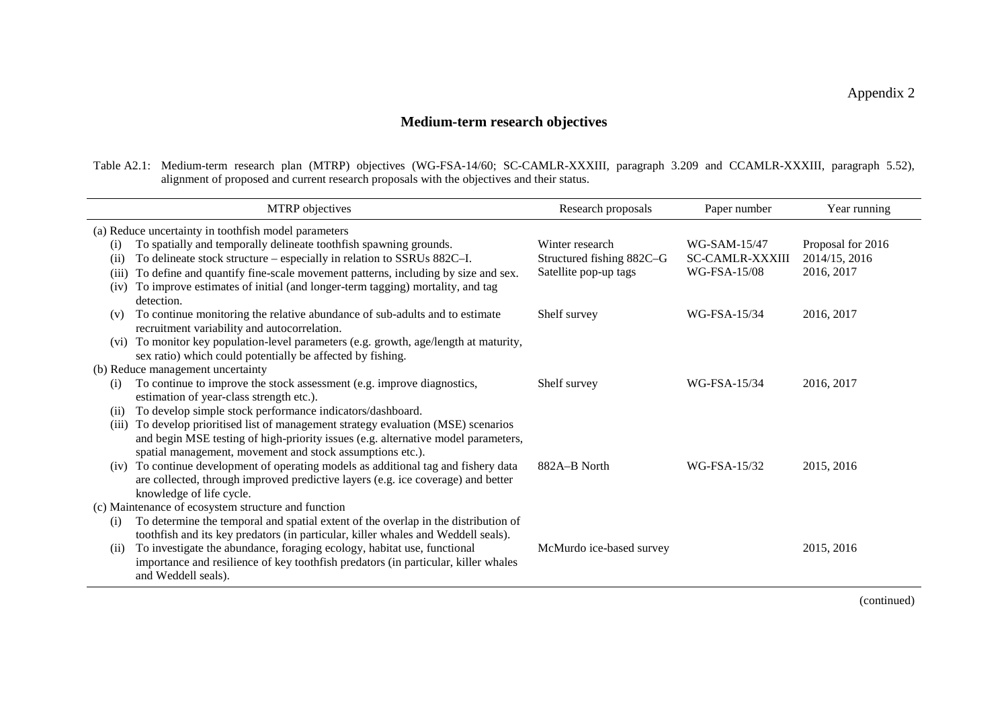# **Medium-term research objectives**

Table A2.1: Medium-term research plan (MTRP) objectives (WG-FSA-14/60; SC-CAMLR-XXXIII, paragraph 3.209 and CCAMLR-XXXIII, paragraph 5.52), alignment of proposed and current research proposals with the objectives and their status.

| MTRP objectives                                     |                                                                                                                                                                                                                                 | Research proposals                           | Paper number                                           | Year running                       |  |  |  |
|-----------------------------------------------------|---------------------------------------------------------------------------------------------------------------------------------------------------------------------------------------------------------------------------------|----------------------------------------------|--------------------------------------------------------|------------------------------------|--|--|--|
|                                                     | (a) Reduce uncertainty in toothfish model parameters                                                                                                                                                                            |                                              |                                                        |                                    |  |  |  |
| $\rm(i)$<br>(i)                                     | To spatially and temporally delineate toothfish spawning grounds.<br>To delineate stock structure - especially in relation to SSRUs 882C-I.                                                                                     | Winter research<br>Structured fishing 882C-G | WG-SAM-15/47<br><b>SC-CAMLR-XXXIII</b><br>WG-FSA-15/08 | Proposal for 2016<br>2014/15, 2016 |  |  |  |
| (iii)<br>(iv)                                       | To define and quantify fine-scale movement patterns, including by size and sex.<br>To improve estimates of initial (and longer-term tagging) mortality, and tag<br>detection.                                                   | Satellite pop-up tags                        |                                                        | 2016, 2017                         |  |  |  |
| (v)                                                 | To continue monitoring the relative abundance of sub-adults and to estimate<br>recruitment variability and autocorrelation.                                                                                                     | Shelf survey                                 | WG-FSA-15/34                                           | 2016, 2017                         |  |  |  |
| (vi)                                                | To monitor key population-level parameters (e.g. growth, age/length at maturity,<br>sex ratio) which could potentially be affected by fishing.                                                                                  |                                              |                                                        |                                    |  |  |  |
| (b) Reduce management uncertainty                   |                                                                                                                                                                                                                                 |                                              |                                                        |                                    |  |  |  |
| (i)                                                 | To continue to improve the stock assessment (e.g. improve diagnostics,<br>estimation of year-class strength etc.).                                                                                                              | Shelf survey                                 | WG-FSA-15/34                                           | 2016, 2017                         |  |  |  |
| (i)                                                 | To develop simple stock performance indicators/dashboard.                                                                                                                                                                       |                                              |                                                        |                                    |  |  |  |
| (iii)                                               | To develop prioritised list of management strategy evaluation (MSE) scenarios<br>and begin MSE testing of high-priority issues (e.g. alternative model parameters,<br>spatial management, movement and stock assumptions etc.). |                                              |                                                        |                                    |  |  |  |
| (iv)                                                | To continue development of operating models as additional tag and fishery data<br>are collected, through improved predictive layers (e.g. ice coverage) and better<br>knowledge of life cycle.                                  | 882A-B North                                 | WG-FSA-15/32                                           | 2015, 2016                         |  |  |  |
| (c) Maintenance of ecosystem structure and function |                                                                                                                                                                                                                                 |                                              |                                                        |                                    |  |  |  |
| (i)                                                 | To determine the temporal and spatial extent of the overlap in the distribution of<br>toothfish and its key predators (in particular, killer whales and Weddell seals).                                                         |                                              |                                                        |                                    |  |  |  |
| (ii)                                                | To investigate the abundance, foraging ecology, habitat use, functional<br>importance and resilience of key toothfish predators (in particular, killer whales<br>and Weddell seals).                                            | McMurdo ice-based survey                     |                                                        | 2015, 2016                         |  |  |  |

(continued)